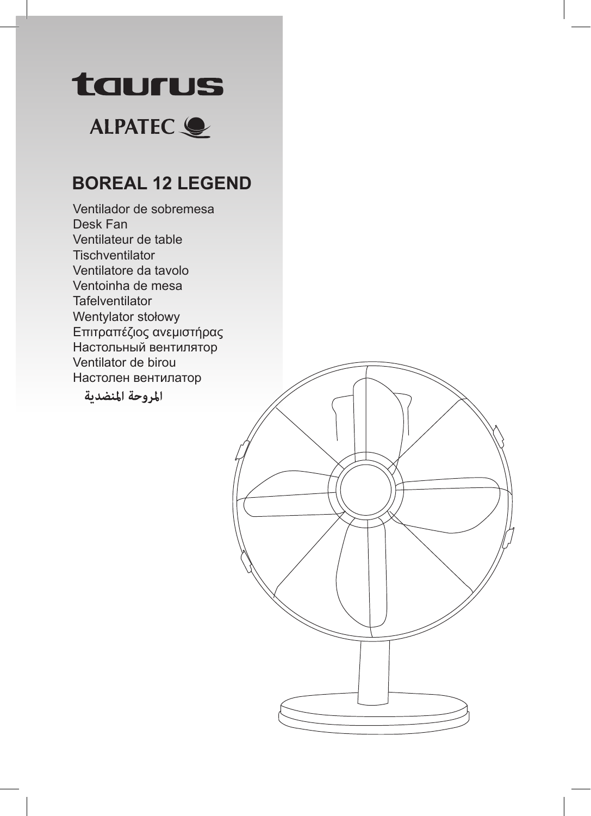



# **BOREAL 12 LEGEND**

Ventilador de sobremesa Desk Fan Ventilateur de table **Tischventilator** Ventilatore da tavolo Ventoinha de mesa **Tafelventilator** Wentylator stołowy Επιτραπέζιος ανεμιστήρας Настольный вентилятор Ventilator de birou Настолен вентилатор

المروحة المنضدية

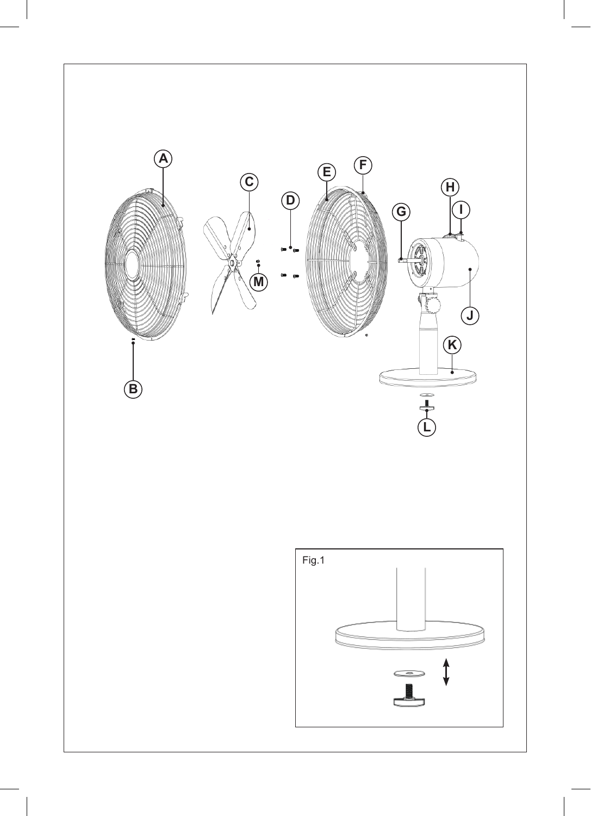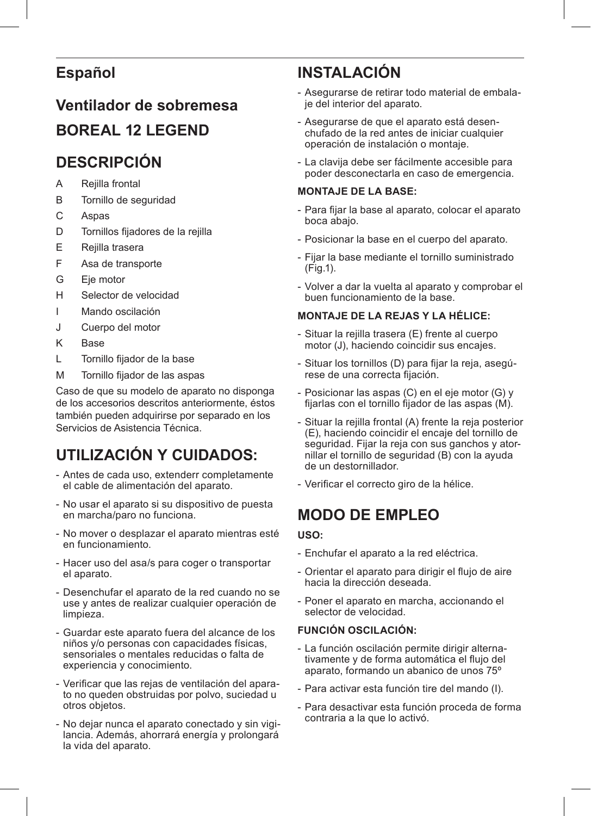# **Español**

# **Ventilador de sobremesa BOREAL 12 LEGEND**

# **DESCRIPCIÓN**

- A Rejilla frontal
- B Tornillo de seguridad
- C Aspas
- D Tornillos fijadores de la rejilla
- E Rejilla trasera
- F Asa de transporte
- G Eje motor
- H Selector de velocidad
- Mando oscilación
- J Cuerpo del motor
- K Base
- L Tornillo fijador de la base
- M Tornillo fijador de las aspas

Caso de que su modelo de aparato no disponga de los accesorios descritos anteriormente, éstos también pueden adquirirse por separado en los Servicios de Asistencia Técnica.

# **UTILIZACIÓN Y CUIDADOS:**

- Antes de cada uso, extenderr completamente el cable de alimentación del aparato.
- No usar el aparato si su dispositivo de puesta en marcha/paro no funciona.
- No mover o desplazar el aparato mientras esté en funcionamiento.
- Hacer uso del asa/s para coger o transportar el aparato.
- Desenchufar el aparato de la red cuando no se use y antes de realizar cualquier operación de limpieza.
- Guardar este aparato fuera del alcance de los niños y/o personas con capacidades físicas, sensoriales o mentales reducidas o falta de experiencia y conocimiento.
- Verificar que las rejas de ventilación del aparato no queden obstruidas por polvo, suciedad u otros objetos.
- No dejar nunca el aparato conectado y sin vigilancia. Además, ahorrará energía y prolongará la vida del aparato.

# **INSTALACIÓN**

- Asegurarse de retirar todo material de embalaje del interior del aparato.
- Asegurarse de que el aparato está desenchufado de la red antes de iniciar cualquier operación de instalación o montaje.
- La clavija debe ser fácilmente accesible para poder desconectarla en caso de emergencia.

## **MONTAJE DE LA BASE:**

- Para fijar la base al aparato, colocar el aparato boca abajo.
- Posicionar la base en el cuerpo del aparato.
- Fijar la base mediante el tornillo suministrado (Fig.1).
- Volver a dar la vuelta al aparato y comprobar el buen funcionamiento de la base.

## **MONTAJE DE LA REJAS Y LA HÉLICE:**

- Situar la rejilla trasera (E) frente al cuerpo motor (J), haciendo coincidir sus encajes.
- Situar los tornillos (D) para fijar la reja, asegúrese de una correcta fijación.
- Posicionar las aspas (C) en el eje motor (G) y fijarlas con el tornillo fijador de las aspas (M).
- Situar la rejilla frontal (A) frente la reja posterior (E), haciendo coincidir el encaje del tornillo de seguridad. Fijar la reja con sus ganchos y atornillar el tornillo de seguridad (B) con la ayuda de un destornillador.
- Verificar el correcto giro de la hélice.

# **MODO DE EMPLEO**

## **USO:**

- Enchufar el aparato a la red eléctrica.
- Orientar el aparato para dirigir el flujo de aire hacia la dirección deseada.
- Poner el aparato en marcha, accionando el selector de velocidad.

## **FUNCIÓN OSCILACIÓN:**

- La función oscilación permite dirigir alternativamente y de forma automática el flujo del aparato, formando un abanico de unos 75º
- Para activar esta función tire del mando (I).
- Para desactivar esta función proceda de forma contraria a la que lo activó.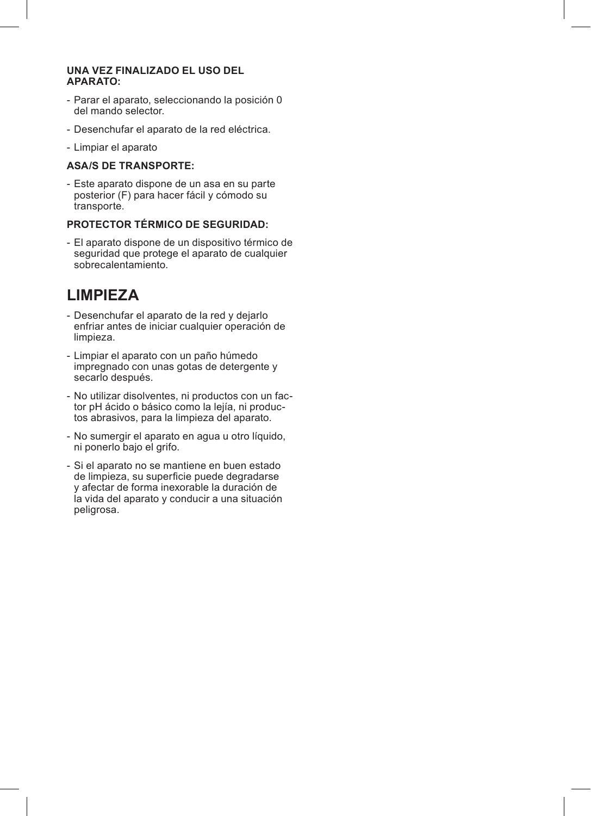#### **UNA VEZ FINALIZADO EL USO DEL APARATO:**

- Parar el aparato, seleccionando la posición 0 del mando selector.
- Desenchufar el aparato de la red eléctrica.
- Limpiar el aparato

#### **ASA/S DE TRANSPORTE:**

- Este aparato dispone de un asa en su parte posterior (F) para hacer fácil y cómodo su transporte.

### **PROTECTOR TÉRMICO DE SEGURIDAD:**

- El aparato dispone de un dispositivo térmico de seguridad que protege el aparato de cualquier sobrecalentamiento.

## **LIMPIEZA**

- Desenchufar el aparato de la red y dejarlo enfriar antes de iniciar cualquier operación de limpieza.
- Limpiar el aparato con un paño húmedo impregnado con unas gotas de detergente y secarlo después.
- No utilizar disolventes, ni productos con un factor pH ácido o básico como la lejía, ni productos abrasivos, para la limpieza del aparato.
- No sumergir el aparato en agua u otro líquido, ni ponerlo bajo el grifo.
- Si el aparato no se mantiene en buen estado de limpieza, su superficie puede degradarse y afectar de forma inexorable la duración de la vida del aparato y conducir a una situación peligrosa.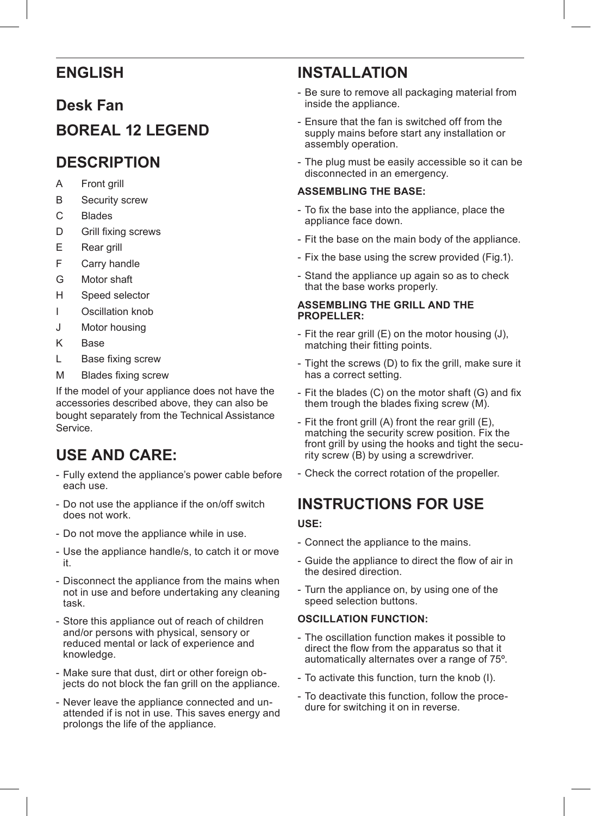## **ENGLISH**

## **Desk Fan**

## **BOREAL 12 LEGEND**

## **DESCRIPTION**

- A Front grill
- B Security screw
- C Blades
- D Grill fixing screws
- E Rear grill
- F Carry handle
- G Motor shaft
- H Speed selector
- Oscillation knob
- J Motor housing
- K Base
- L Base fixing screw
- M Blades fixing screw

If the model of your appliance does not have the accessories described above, they can also be bought separately from the Technical Assistance Service.

# **USE AND CARE:**

- Fully extend the appliance's power cable before each use.
- Do not use the appliance if the on/off switch does not work.
- Do not move the appliance while in use.
- Use the appliance handle/s, to catch it or move it.
- Disconnect the appliance from the mains when not in use and before undertaking any cleaning task.
- Store this appliance out of reach of children and/or persons with physical, sensory or reduced mental or lack of experience and knowledge.
- Make sure that dust, dirt or other foreign objects do not block the fan grill on the appliance.
- Never leave the appliance connected and unattended if is not in use. This saves energy and prolongs the life of the appliance.

# **INSTALLATION**

- Be sure to remove all packaging material from inside the appliance.
- Ensure that the fan is switched off from the supply mains before start any installation or assembly operation.
- The plug must be easily accessible so it can be disconnected in an emergency.

## **ASSEMBLING THE BASE:**

- To fix the base into the appliance, place the appliance face down.
- Fit the base on the main body of the appliance.
- Fix the base using the screw provided (Fig.1).
- Stand the appliance up again so as to check that the base works properly.

#### **ASSEMBLING THE GRILL AND THE PROPELLER:**

- Fit the rear grill (E) on the motor housing (J), matching their fitting points.
- Tight the screws (D) to fix the grill, make sure it has a correct setting.
- Fit the blades (C) on the motor shaft (G) and fix them trough the blades fixing screw (M).
- Fit the front grill (A) front the rear grill (E), matching the security screw position. Fix the front grill by using the hooks and tight the security screw (B) by using a screwdriver.
- Check the correct rotation of the propeller.

# **INSTRUCTIONS FOR USE**

### **USE:**

- Connect the appliance to the mains.
- Guide the appliance to direct the flow of air in the desired direction.
- Turn the appliance on, by using one of the speed selection buttons.

## **OSCILLATION FUNCTION:**

- The oscillation function makes it possible to direct the flow from the apparatus so that it automatically alternates over a range of 75º.
- To activate this function, turn the knob (I).
- To deactivate this function, follow the procedure for switching it on in reverse.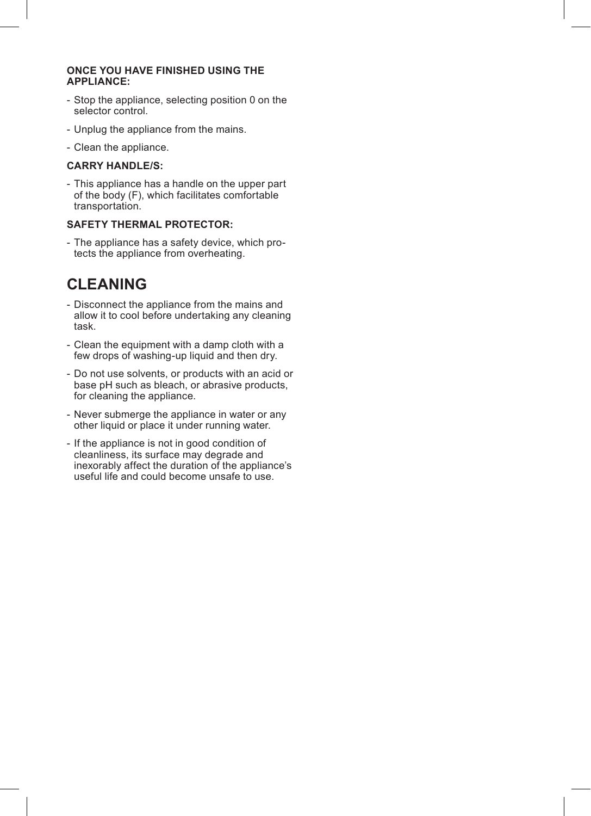#### **ONCE YOU HAVE FINISHED USING THE APPLIANCE:**

- Stop the appliance, selecting position 0 on the selector control.
- Unplug the appliance from the mains.
- Clean the appliance.

### **CARRY HANDLE/S:**

- This appliance has a handle on the upper part of the body (F), which facilitates comfortable transportation.

#### **SAFETY THERMAL PROTECTOR:**

- The appliance has a safety device, which protects the appliance from overheating.

## **CLEANING**

- Disconnect the appliance from the mains and allow it to cool before undertaking any cleaning task.
- Clean the equipment with a damp cloth with a few drops of washing-up liquid and then dry.
- Do not use solvents, or products with an acid or base pH such as bleach, or abrasive products, for cleaning the appliance.
- Never submerge the appliance in water or any other liquid or place it under running water.
- If the appliance is not in good condition of cleanliness, its surface may degrade and inexorably affect the duration of the appliance's useful life and could become unsafe to use.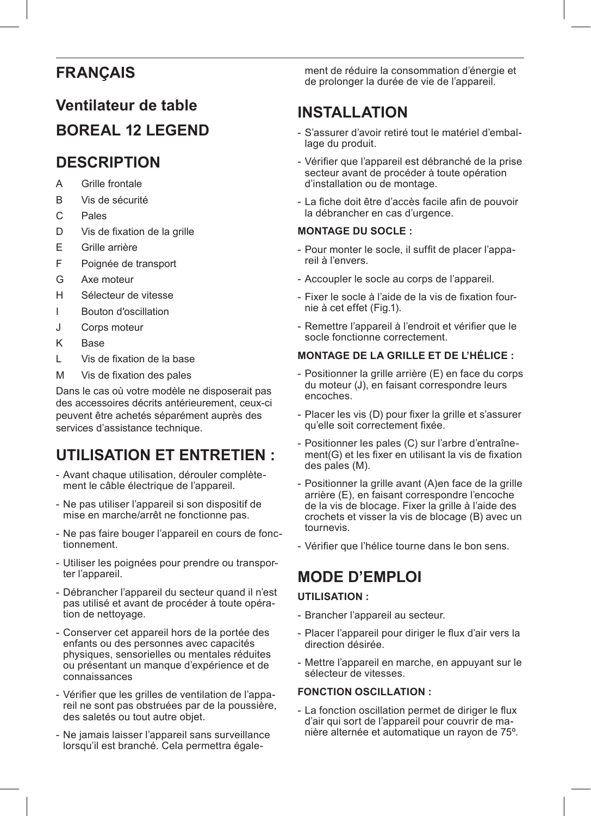# **FRANÇAIS**

# **Ventilateur de table BOREAL 12 LEGEND**

## **DESCRIPTION**

- A Grille frontale
- B Vis de sécurité
- C Pales
- D Vis de fixation de la grille
- E Grille arrière
- F Poignée de transport
- G Axe moteur
- H Sélecteur de vitesse
- Bouton d'oscillation
- J Corps moteur
- K Base
- L Vis de fixation de la base
- M Vis de fixation des pales

Dans le cas où votre modèle ne disposerait pas des accessoires décrits antérieurement, ceux-ci peuvent être achetés séparément auprès des services d'assistance technique.

# **UTILISATION ET ENTRETIEN :**

- Avant chaque utilisation, dérouler complètement le câble électrique de l'appareil.
- Ne pas utiliser l'appareil si son dispositif de mise en marche/arrêt ne fonctionne pas.
- Ne pas faire bouger l'appareil en cours de fonctionnement.
- Utiliser les poignées pour prendre ou transporter l'appareil.
- Débrancher l'appareil du secteur quand il n'est pas utilisé et avant de procéder à toute opération de nettoyage.
- Conserver cet appareil hors de la portée des enfants ou des personnes avec capacités physiques, sensorielles ou mentales réduites ou présentant un manque d'expérience et de connaissances
- Vérifier que les grilles de ventilation de l'appareil ne sont pas obstruées par de la poussière, des saletés ou tout autre objet.
- Ne jamais laisser l'appareil sans surveillance lorsqu'il est branché. Cela permettra égale-

ment de réduire la consommation d'énergie et de prolonger la durée de vie de l'appareil.

## **INSTALLATION**

- S'assurer d'avoir retiré tout le matériel d'emballage du produit.
- Vérifier que l'appareil est débranché de la prise secteur avant de procéder à toute opération d'installation ou de montage.
- La fiche doit être d'accès facile afin de pouvoir la débrancher en cas d'urgence.

## **MONTAGE DU SOCLE :**

- Pour monter le socle, il suffit de placer l'appareil à l'envers.
- Accoupler le socle au corps de l'appareil.
- Fixer le socle à l'aide de la vis de fixation fournie à cet effet (Fig.1).
- Remettre l'appareil à l'endroit et vérifier que le socle fonctionne correctement.

## **MONTAGE DE LA GRILLE ET DE L'HÉLICE :**

- Positionner la grille arrière (E) en face du corps du moteur (J), en faisant correspondre leurs encoches.
- Placer les vis (D) pour fixer la grille et s'assurer qu'elle soit correctement fixée.
- Positionner les pales (C) sur l'arbre d'entraînement(G) et les fixer en utilisant la vis de fixation des pales (M).
- Positionner la grille avant (A)en face de la grille arrière (E), en faisant correspondre l'encoche de la vis de blocage. Fixer la grille à l'aide des crochets et visser la vis de blocage (B) avec un tournevis.
- Vérifier que l'hélice tourne dans le bon sens.

## **MODE D'EMPLOI**

### **UTILISATION :**

- Brancher l'appareil au secteur.
- Placer l'appareil pour diriger le flux d'air vers la direction désirée.
- Mettre l'appareil en marche, en appuyant sur le sélecteur de vitesses.

### **FONCTION OSCILLATION :**

- La fonction oscillation permet de diriger le flux d'air qui sort de l'appareil pour couvrir de manière alternée et automatique un rayon de 75º.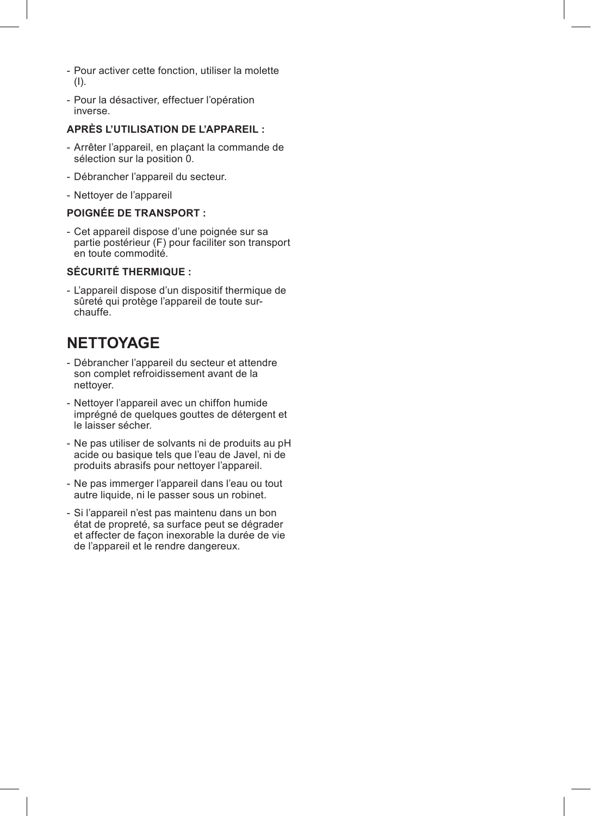- Pour activer cette fonction, utiliser la molette (I).
- Pour la désactiver, effectuer l'opération inverse.

## **APRÈS L'UTILISATION DE L'APPAREIL :**

- Arrêter l'appareil, en plaçant la commande de sélection sur la position 0.
- Débrancher l'appareil du secteur.
- Nettoyer de l'appareil

### **POIGNÉE DE TRANSPORT :**

- Cet appareil dispose d'une poignée sur sa partie postérieur (F) pour faciliter son transport en toute commodité.

## **SÉCURITÉ THERMIQUE :**

- L'appareil dispose d'un dispositif thermique de sûreté qui protège l'appareil de toute surchauffe.

## **NETTOYAGE**

- Débrancher l'appareil du secteur et attendre son complet refroidissement avant de la nettoyer.
- Nettoyer l'appareil avec un chiffon humide imprégné de quelques gouttes de détergent et le laisser sécher.
- Ne pas utiliser de solvants ni de produits au pH acide ou basique tels que l'eau de Javel, ni de produits abrasifs pour nettoyer l'appareil.
- Ne pas immerger l'appareil dans l'eau ou tout autre liquide, ni le passer sous un robinet.
- Si l'appareil n'est pas maintenu dans un bon état de propreté, sa surface peut se dégrader et affecter de façon inexorable la durée de vie de l'appareil et le rendre dangereux.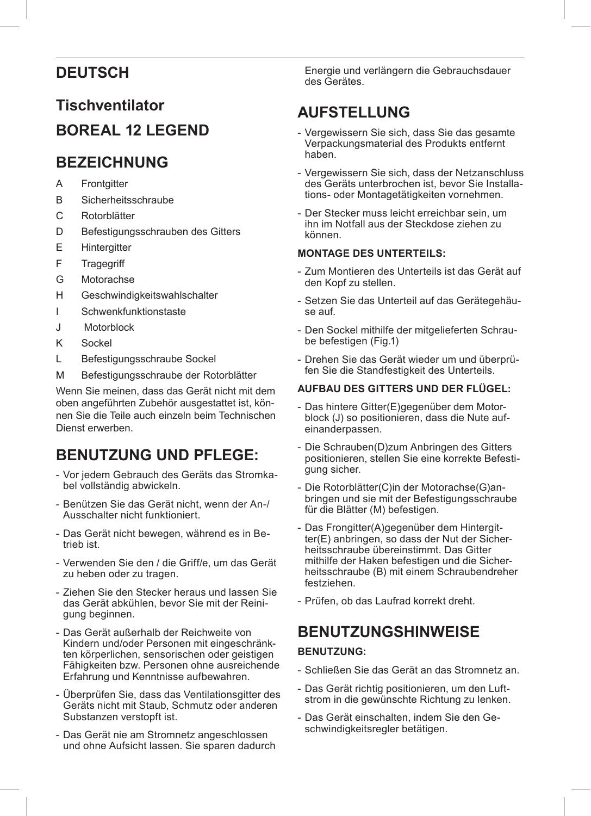# **DEUTSCH**

# **Tischventilator BOREAL 12 LEGEND**

## **BEZEICHNUNG**

- A Frontgitter
- B Sicherheitsschraube
- C Rotorblätter
- D Befestigungsschrauben des Gitters
- E Hintergitter
- F Tragegriff
- G Motorachse
- H Geschwindigkeitswahlschalter
- **Schwenkfunktionstaste**
- J Motorblock
- K Sockel
- L Befestigungsschraube Sockel
- M Befestigungsschraube der Rotorblätter

Wenn Sie meinen, dass das Gerät nicht mit dem oben angeführten Zubehör ausgestattet ist, können Sie die Teile auch einzeln beim Technischen Dienst erwerben.

## **BENUTZUNG UND PFLEGE:**

- Vor jedem Gebrauch des Geräts das Stromkabel vollständig abwickeln.
- Benützen Sie das Gerät nicht, wenn der An-/ Ausschalter nicht funktioniert.
- Das Gerät nicht bewegen, während es in Betrieb ist.
- Verwenden Sie den / die Griff/e, um das Gerät zu heben oder zu tragen.
- Ziehen Sie den Stecker heraus und lassen Sie das Gerät abkühlen, bevor Sie mit der Reinigung beginnen.
- Das Gerät außerhalb der Reichweite von Kindern und/oder Personen mit eingeschränkten körperlichen, sensorischen oder geistigen Fähigkeiten bzw. Personen ohne ausreichende Erfahrung und Kenntnisse aufbewahren.
- Überprüfen Sie, dass das Ventilationsgitter des Geräts nicht mit Staub, Schmutz oder anderen Substanzen verstopft ist.
- Das Gerät nie am Stromnetz angeschlossen und ohne Aufsicht lassen. Sie sparen dadurch

Energie und verlängern die Gebrauchsdauer des Gerätes.

## **AUFSTELLUNG**

- Vergewissern Sie sich, dass Sie das gesamte Verpackungsmaterial des Produkts entfernt haben.
- Vergewissern Sie sich, dass der Netzanschluss des Geräts unterbrochen ist, bevor Sie Installations- oder Montagetätigkeiten vornehmen.
- Der Stecker muss leicht erreichbar sein, um ihn im Notfall aus der Steckdose ziehen zu können.

#### **MONTAGE DES UNTERTEILS:**

- Zum Montieren des Unterteils ist das Gerät auf den Kopf zu stellen.
- Setzen Sie das Unterteil auf das Gerätegehäuse auf.
- Den Sockel mithilfe der mitgelieferten Schraube befestigen (Fig.1)
- Drehen Sie das Gerät wieder um und überprüfen Sie die Standfestigkeit des Unterteils.

#### **AUFBAU DES GITTERS UND DER FLÜGEL:**

- Das hintere Gitter(E)gegenüber dem Motorblock (J) so positionieren, dass die Nute aufeinanderpassen.
- Die Schrauben(D)zum Anbringen des Gitters positionieren, stellen Sie eine korrekte Befestigung sicher.
- Die Rotorblätter(C)in der Motorachse(G)anbringen und sie mit der Befestigungsschraube für die Blätter (M) befestigen.
- Das Frongitter(A)gegenüber dem Hintergitter(E) anbringen, so dass der Nut der Sicherheitsschraube übereinstimmt. Das Gitter mithilfe der Haken befestigen und die Sicherheitsschraube (B) mit einem Schraubendreher festziehen.
- Prüfen, ob das Laufrad korrekt dreht.

## **BENUTZUNGSHINWEISE**

### **BENUTZUNG:**

- Schließen Sie das Gerät an das Stromnetz an.
- Das Gerät richtig positionieren, um den Luftstrom in die gewünschte Richtung zu lenken.
- Das Gerät einschalten, indem Sie den Geschwindigkeitsregler betätigen.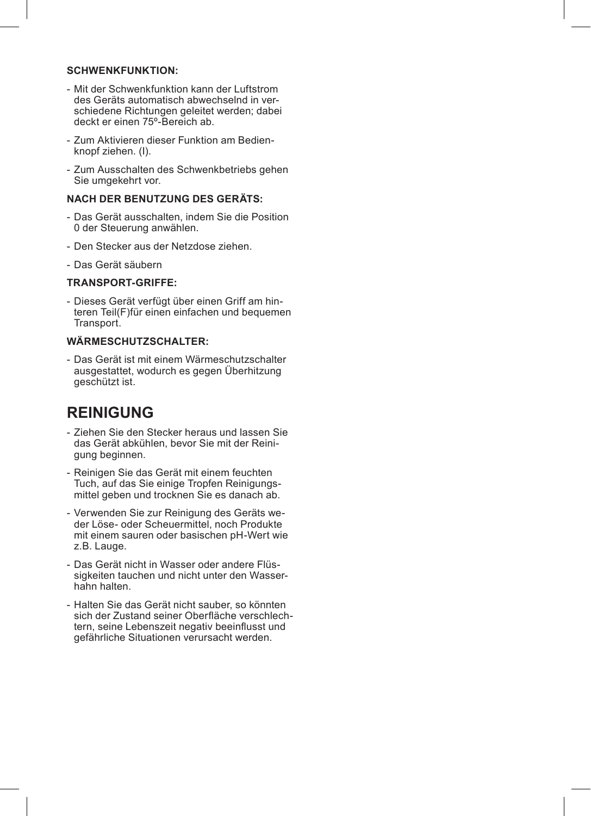#### **SCHWENKFUNKTION:**

- Mit der Schwenkfunktion kann der Luftstrom des Geräts automatisch abwechselnd in verschiedene Richtungen geleitet werden; dabei deckt er einen 75º-Bereich ab.
- Zum Aktivieren dieser Funktion am Bedienknopf ziehen. (I).
- Zum Ausschalten des Schwenkbetriebs gehen Sie umgekehrt vor.

### **NACH DER BENUTZUNG DES GERÄTS:**

- Das Gerät ausschalten, indem Sie die Position 0 der Steuerung anwählen.
- Den Stecker aus der Netzdose ziehen.
- Das Gerät säubern

#### **TRANSPORT-GRIFFE:**

- Dieses Gerät verfügt über einen Griff am hinteren Teil(F)für einen einfachen und bequemen Transport.

### **WÄRMESCHUTZSCHALTER:**

- Das Gerät ist mit einem Wärmeschutzschalter ausgestattet, wodurch es gegen Überhitzung geschützt ist.

## **REINIGUNG**

- Ziehen Sie den Stecker heraus und lassen Sie das Gerät abkühlen, bevor Sie mit der Reinigung beginnen.
- Reinigen Sie das Gerät mit einem feuchten Tuch, auf das Sie einige Tropfen Reinigungsmittel geben und trocknen Sie es danach ab.
- Verwenden Sie zur Reinigung des Geräts weder Löse- oder Scheuermittel, noch Produkte mit einem sauren oder basischen pH-Wert wie z.B. Lauge.
- Das Gerät nicht in Wasser oder andere Flüssigkeiten tauchen und nicht unter den Wasserhahn halten.
- Halten Sie das Gerät nicht sauber, so könnten sich der Zustand seiner Oberfläche verschlechtern, seine Lebenszeit negativ beeinflusst und gefährliche Situationen verursacht werden.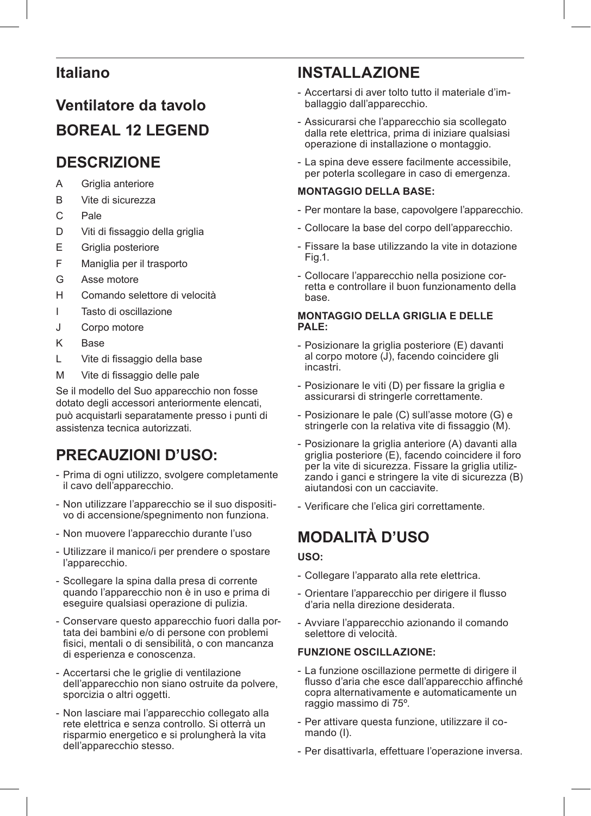## **Italiano**

# **Ventilatore da tavolo BOREAL 12 LEGEND**

## **DESCRIZIONE**

- A Griglia anteriore
- B Vite di sicurezza
- C Pale
- D Viti di fissaggio della griglia
- E Griglia posteriore
- F Maniglia per il trasporto
- G Asse motore
- H Comando selettore di velocità
- I Tasto di oscillazione
- J Corpo motore
- K Base
- L Vite di fissaggio della base
- M Vite di fissaggio delle pale

Se il modello del Suo apparecchio non fosse dotato degli accessori anteriormente elencati, può acquistarli separatamente presso i punti di assistenza tecnica autorizzati.

# **PRECAUZIONI D'USO:**

- Prima di ogni utilizzo, svolgere completamente il cavo dell'apparecchio.
- Non utilizzare l'apparecchio se il suo dispositivo di accensione/spegnimento non funziona.
- Non muovere l'apparecchio durante l'uso
- Utilizzare il manico/i per prendere o spostare l'apparecchio.
- Scollegare la spina dalla presa di corrente quando l'apparecchio non è in uso e prima di eseguire qualsiasi operazione di pulizia.
- Conservare questo apparecchio fuori dalla portata dei bambini e/o di persone con problemi fisici, mentali o di sensibilità, o con mancanza di esperienza e conoscenza.
- Accertarsi che le griglie di ventilazione dell'apparecchio non siano ostruite da polvere, sporcizia o altri oggetti.
- Non lasciare mai l'apparecchio collegato alla rete elettrica e senza controllo. Si otterrà un risparmio energetico e si prolungherà la vita dell'apparecchio stesso.

# **INSTALLAZIONE**

- Accertarsi di aver tolto tutto il materiale d'imballaggio dall'apparecchio.
- Assicurarsi che l'apparecchio sia scollegato dalla rete elettrica, prima di iniziare qualsiasi operazione di installazione o montaggio.
- La spina deve essere facilmente accessibile, per poterla scollegare in caso di emergenza.

## **MONTAGGIO DELLA BASE:**

- Per montare la base, capovolgere l'apparecchio.
- Collocare la base del corpo dell'apparecchio.
- Fissare la base utilizzando la vite in dotazione Fig.1.
- Collocare l'apparecchio nella posizione corretta e controllare il buon funzionamento della base.

### **MONTAGGIO DELLA GRIGLIA E DELLE PALE:**

- Posizionare la griglia posteriore (E) davanti al corpo motore (J), facendo coincidere gli incastri.
- Posizionare le viti (D) per fissare la griglia e assicurarsi di stringerle correttamente.
- Posizionare le pale (C) sull'asse motore (G) e stringerle con la relativa vite di fissaggio (M).
- Posizionare la griglia anteriore (A) davanti alla griglia posteriore (E), facendo coincidere il foro per la vite di sicurezza. Fissare la griglia utilizzando i ganci e stringere la vite di sicurezza (B) aiutandosi con un cacciavite.
- Verificare che l'elica giri correttamente.

# **MODALITÀ D'USO**

### **USO:**

- Collegare l'apparato alla rete elettrica.
- Orientare l'apparecchio per dirigere il flusso d'aria nella direzione desiderata.
- Avviare l'apparecchio azionando il comando selettore di velocità.

### **FUNZIONE OSCILLAZIONE:**

- La funzione oscillazione permette di dirigere il flusso d'aria che esce dall'apparecchio affinché copra alternativamente e automaticamente un raggio massimo di 75º.
- Per attivare questa funzione, utilizzare il comando (I).
- Per disattivarla, effettuare l'operazione inversa.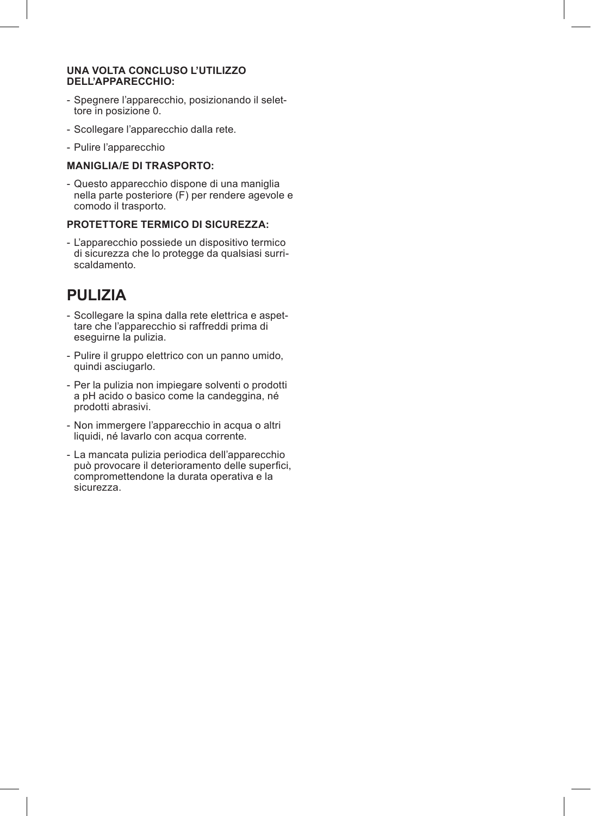#### **UNA VOLTA CONCLUSO L'UTILIZZO DELL'APPARECCHIO:**

- Spegnere l'apparecchio, posizionando il selettore in posizione 0.
- Scollegare l'apparecchio dalla rete.
- Pulire l'apparecchio

### **MANIGLIA/E DI TRASPORTO:**

- Questo apparecchio dispone di una maniglia nella parte posteriore (F) per rendere agevole e comodo il trasporto.

## **PROTETTORE TERMICO DI SICUREZZA:**

- L'apparecchio possiede un dispositivo termico di sicurezza che lo protegge da qualsiasi surriscaldamento.

# **PULIZIA**

- Scollegare la spina dalla rete elettrica e aspettare che l'apparecchio si raffreddi prima di eseguirne la pulizia.
- Pulire il gruppo elettrico con un panno umido, quindi asciugarlo.
- Per la pulizia non impiegare solventi o prodotti a pH acido o basico come la candeggina, né prodotti abrasivi.
- Non immergere l'apparecchio in acqua o altri liquidi, né lavarlo con acqua corrente.
- La mancata pulizia periodica dell'apparecchio può provocare il deterioramento delle superfici, compromettendone la durata operativa e la sicurezza.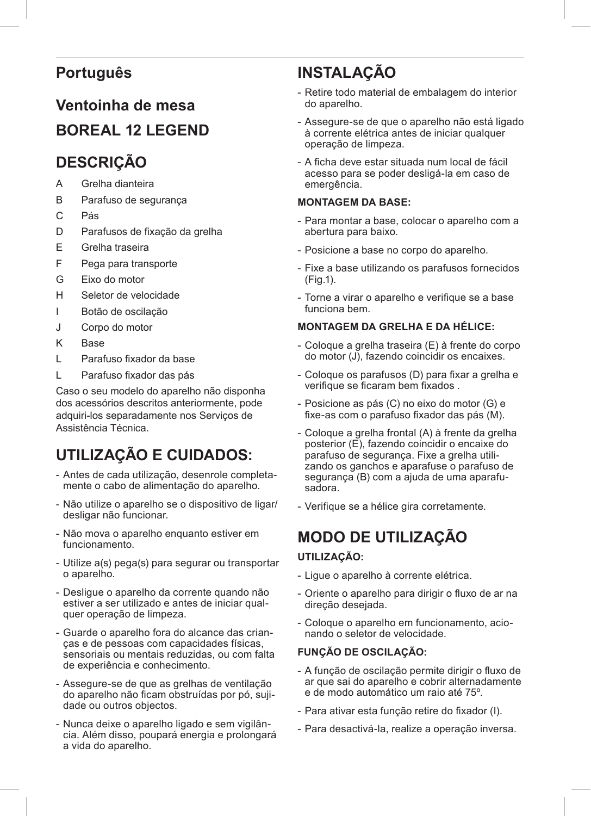# **Português**

# **Ventoinha de mesa BOREAL 12 LEGEND**

# **DESCRIÇÃO**

- A Grelha dianteira
- B Parafuso de segurança
- C Pás
- D Parafusos de fixação da grelha
- E Grelha traseira
- F Pega para transporte
- G Eixo do motor
- H Seletor de velocidade
- I Botão de oscilação
- J Corpo do motor
- K Base
- L Parafuso fixador da base
- L Parafuso fixador das pás

Caso o seu modelo do aparelho não disponha dos acessórios descritos anteriormente, pode adquiri-los separadamente nos Serviços de Assistência Técnica.

# **UTILIZAÇÃO E CUIDADOS:**

- Antes de cada utilização, desenrole completamente o cabo de alimentação do aparelho.
- Não utilize o aparelho se o dispositivo de ligar/ desligar não funcionar.
- Não mova o aparelho enquanto estiver em funcionamento.
- Utilize a(s) pega(s) para segurar ou transportar o aparelho.
- Desligue o aparelho da corrente quando não estiver a ser utilizado e antes de iniciar qualquer operação de limpeza.
- Guarde o aparelho fora do alcance das crianças e de pessoas com capacidades físicas, sensoriais ou mentais reduzidas, ou com falta de experiência e conhecimento.
- Assegure-se de que as grelhas de ventilação do aparelho não ficam obstruídas por pó, sujidade ou outros objectos.
- Nunca deixe o aparelho ligado e sem vigilância. Além disso, poupará energia e prolongará a vida do aparelho.

# **INSTALAÇÃO**

- Retire todo material de embalagem do interior do aparelho.
- Assegure-se de que o aparelho não está ligado à corrente elétrica antes de iniciar qualquer operação de limpeza.
- A ficha deve estar situada num local de fácil acesso para se poder desligá-la em caso de emergência.

#### **MONTAGEM DA BASE:**

- Para montar a base, colocar o aparelho com a abertura para baixo.
- Posicione a base no corpo do aparelho.
- Fixe a base utilizando os parafusos fornecidos (Fig.1).
- Torne a virar o aparelho e verifique se a base funciona bem.

#### **MONTAGEM DA GRELHA E DA HÉLICE:**

- Coloque a grelha traseira (E) à frente do corpo do motor (J), fazendo coincidir os encaixes.
- Coloque os parafusos (D) para fixar a grelha e verifique se ficaram bem fixados .
- Posicione as pás (C) no eixo do motor (G) e fixe-as com o parafuso fixador das pás (M).
- Coloque a grelha frontal (A) à frente da grelha posterior (E), fazendo coincidir o encaixe do parafuso de segurança. Fixe a grelha utilizando os ganchos e aparafuse o parafuso de segurança (B) com a ajuda de uma aparafusadora.
- Verifique se a hélice gira corretamente.

## **MODO DE UTILIZAÇÃO**

### **UTILIZAÇÃO:**

- Ligue o aparelho à corrente elétrica.
- Oriente o aparelho para dirigir o fluxo de ar na direção desejada.
- Coloque o aparelho em funcionamento, acionando o seletor de velocidade.

#### **FUNÇÃO DE OSCILAÇÃO:**

- A função de oscilação permite dirigir o fluxo de ar que sai do aparelho e cobrir alternadamente e de modo automático um raio até 75º.
- Para ativar esta função retire do fixador (I).
- Para desactivá-la, realize a operação inversa.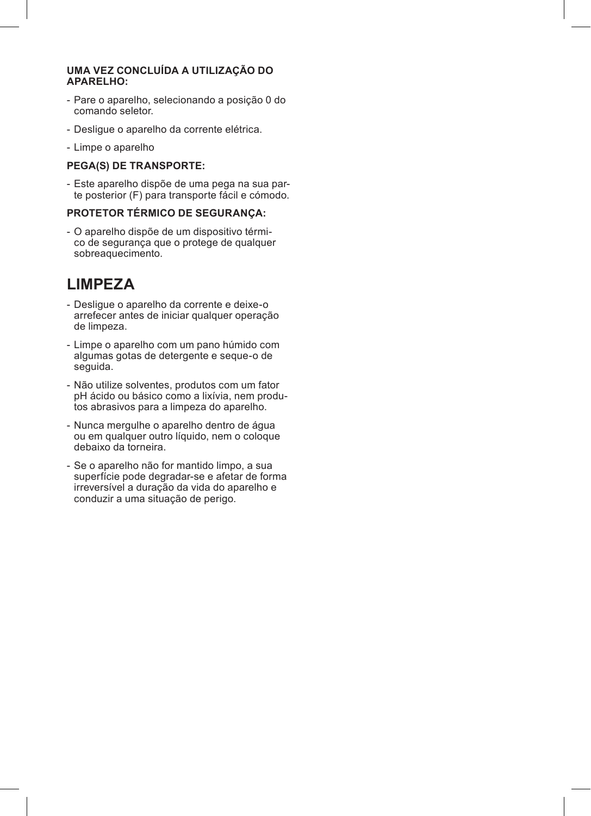#### **UMA VEZ CONCLUÍDA A UTILIZAÇÃO DO APARELHO:**

- Pare o aparelho, selecionando a posição 0 do comando seletor.
- Desligue o aparelho da corrente elétrica.
- Limpe o aparelho

#### **PEGA(S) DE TRANSPORTE:**

- Este aparelho dispõe de uma pega na sua parte posterior (F) para transporte fácil e cómodo.

### **PROTETOR TÉRMICO DE SEGURANÇA:**

- O aparelho dispõe de um dispositivo térmico de segurança que o protege de qualquer sobreaquecimento.

## **LIMPEZA**

- Desligue o aparelho da corrente e deixe-o arrefecer antes de iniciar qualquer operação de limpeza.
- Limpe o aparelho com um pano húmido com algumas gotas de detergente e seque-o de seguida.
- Não utilize solventes, produtos com um fator pH ácido ou básico como a lixívia, nem produtos abrasivos para a limpeza do aparelho.
- Nunca mergulhe o aparelho dentro de água ou em qualquer outro líquido, nem o coloque debaixo da torneira.
- Se o aparelho não for mantido limpo, a sua superfície pode degradar-se e afetar de forma irreversível a duração da vida do aparelho e conduzir a uma situação de perigo.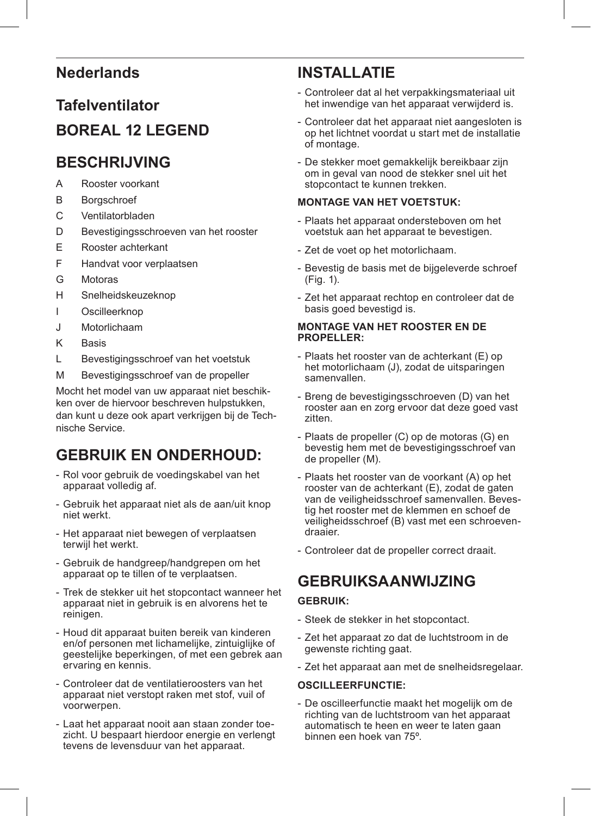## **Nederlands**

# **Tafelventilator BOREAL 12 LEGEND**

## **BESCHRIJVING**

- A Rooster voorkant
- B Borgschroef
- C Ventilatorbladen
- D Bevestigingsschroeven van het rooster
- E Rooster achterkant
- F Handvat voor verplaatsen
- G Motoras
- H Snelheidskeuzeknop
- I Oscilleerknop
- J Motorlichaam
- K Basis
- L Bevestigingsschroef van het voetstuk
- M Bevestigingsschroef van de propeller

Mocht het model van uw apparaat niet beschikken over de hiervoor beschreven hulpstukken, dan kunt u deze ook apart verkrijgen bij de Technische Service.

# **GEBRUIK EN ONDERHOUD:**

- Rol voor gebruik de voedingskabel van het apparaat volledig af.
- Gebruik het apparaat niet als de aan/uit knop niet werkt.
- Het apparaat niet bewegen of verplaatsen terwijl het werkt.
- Gebruik de handgreep/handgrepen om het apparaat op te tillen of te verplaatsen.
- Trek de stekker uit het stopcontact wanneer het apparaat niet in gebruik is en alvorens het te reinigen.
- Houd dit apparaat buiten bereik van kinderen en/of personen met lichamelijke, zintuiglijke of geestelijke beperkingen, of met een gebrek aan ervaring en kennis.
- Controleer dat de ventilatieroosters van het apparaat niet verstopt raken met stof, vuil of voorwerpen.
- Laat het apparaat nooit aan staan zonder toezicht. U bespaart hierdoor energie en verlengt tevens de levensduur van het apparaat.

## **INSTALLATIE**

- Controleer dat al het verpakkingsmateriaal uit het inwendige van het apparaat verwijderd is.
- Controleer dat het apparaat niet aangesloten is op het lichtnet voordat u start met de installatie of montage.
- De stekker moet gemakkelijk bereikbaar zijn om in geval van nood de stekker snel uit het stopcontact te kunnen trekken.

#### **MONTAGE VAN HET VOETSTUK:**

- Plaats het apparaat ondersteboven om het voetstuk aan het apparaat te bevestigen.
- Zet de voet op het motorlichaam.
- Bevestig de basis met de bijgeleverde schroef (Fig. 1).
- Zet het apparaat rechtop en controleer dat de basis goed bevestigd is.

#### **MONTAGE VAN HET ROOSTER EN DE PROPELLER:**

- Plaats het rooster van de achterkant (E) op het motorlichaam (J), zodat de uitsparingen samenvallen.
- Breng de bevestigingsschroeven (D) van het rooster aan en zorg ervoor dat deze goed vast zitten.
- Plaats de propeller (C) op de motoras (G) en bevestig hem met de bevestigingsschroef van de propeller (M).
- Plaats het rooster van de voorkant (A) op het rooster van de achterkant (E), zodat de gaten van de veiligheidsschroef samenvallen. Bevestig het rooster met de klemmen en schoef de veiligheidsschroef (B) vast met een schroevendraaier.
- Controleer dat de propeller correct draait.

## **GEBRUIKSAANWIJZING**

### **GEBRUIK:**

- Steek de stekker in het stopcontact.
- Zet het apparaat zo dat de luchtstroom in de gewenste richting gaat.
- Zet het apparaat aan met de snelheidsregelaar.

#### **OSCILLEERFUNCTIE:**

- De oscilleerfunctie maakt het mogelijk om de richting van de luchtstroom van het apparaat automatisch te heen en weer te laten gaan binnen een hoek van 75º.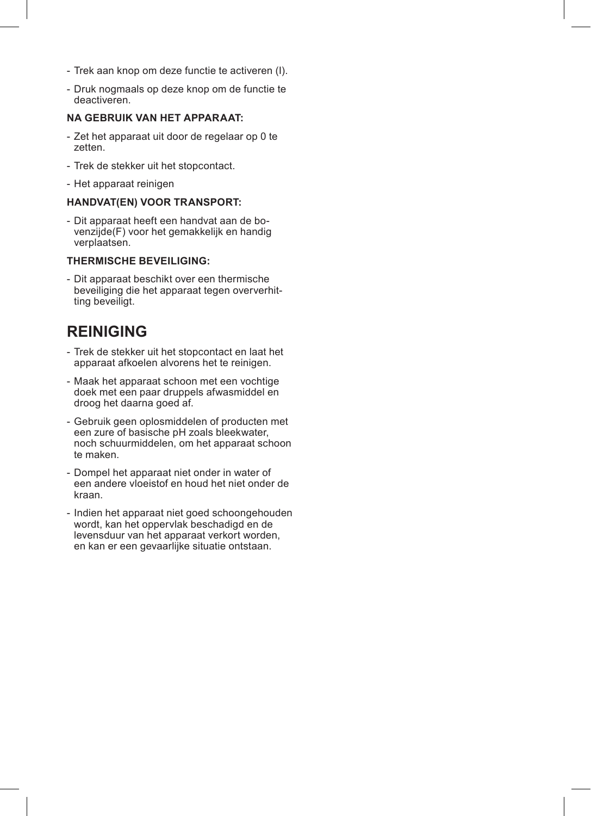- Trek aan knop om deze functie te activeren (I).
- Druk nogmaals op deze knop om de functie te deactiveren.

#### **NA GEBRUIK VAN HET APPARAAT:**

- Zet het apparaat uit door de regelaar op 0 te zetten.
- Trek de stekker uit het stopcontact.
- Het apparaat reinigen

#### **HANDVAT(EN) VOOR TRANSPORT:**

- Dit apparaat heeft een handvat aan de bovenzijde(F) voor het gemakkelijk en handig verplaatsen.

#### **THERMISCHE BEVEILIGING:**

- Dit apparaat beschikt over een thermische beveiliging die het apparaat tegen oververhitting beveiligt.

## **REINIGING**

- Trek de stekker uit het stopcontact en laat het apparaat afkoelen alvorens het te reinigen.
- Maak het apparaat schoon met een vochtige doek met een paar druppels afwasmiddel en droog het daarna goed af.
- Gebruik geen oplosmiddelen of producten met een zure of basische pH zoals bleekwater, noch schuurmiddelen, om het apparaat schoon te maken.
- Dompel het apparaat niet onder in water of een andere vloeistof en houd het niet onder de kraan.
- Indien het apparaat niet goed schoongehouden wordt, kan het oppervlak beschadigd en de levensduur van het apparaat verkort worden, en kan er een gevaarlijke situatie ontstaan.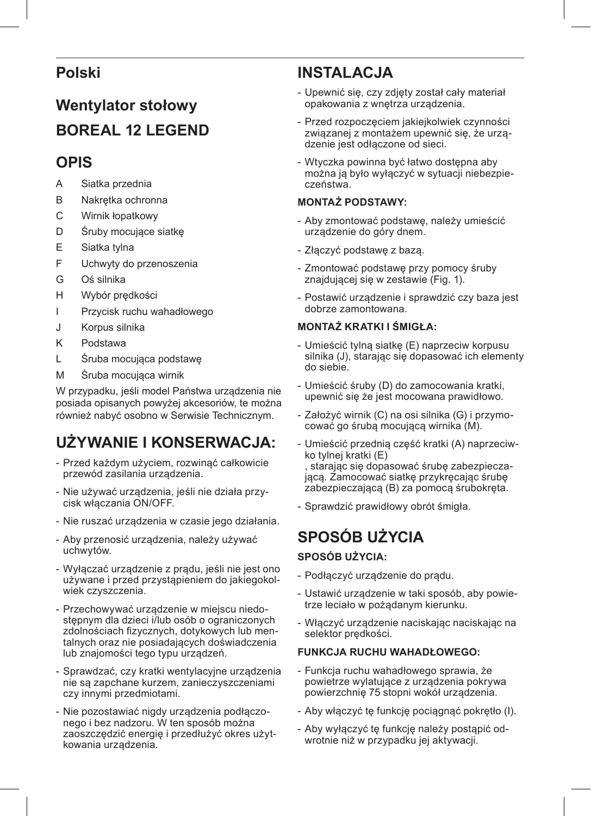# **Polski**

# **Wentylator stołowy BOREAL 12 LEGEND**

## **OPIS**

- A Siatka przednia
- B Nakrętka ochronna
- C Wirnik łopatkowy
- D Śruby mocujące siatkę
- E Siatka tylna
- F Uchwyty do przenoszenia
- G Oś silnika
- H Wybór prędkości
- I Przycisk ruchu wahadłowego
- J Korpus silnika
- K Podstawa
- L Śruba mocująca podstawę
- M Śruba mocująca wirnik

W przypadku, jeśli model Państwa urządzenia nie posiada opisanych powyżej akcesoriów, te można również nabyć osobno w Serwisie Technicznym.

# **UŻYWANIE I KONSERWACJA:**

- Przed każdym użyciem, rozwinąć całkowicie przewód zasilania urządzenia.
- Nie używać urządzenia, jeśli nie działa przycisk włączania ON/OFF.
- Nie ruszać urządzenia w czasie jego działania.
- Aby przenosić urządzenia, należy używać uchwytów.
- Wyłączać urządzenie z prądu, jeśli nie jest ono używane i przed przystąpieniem do jakiegokolwiek czyszczenia.
- Przechowywać urządzenie w miejscu niedostępnym dla dzieci i/lub osób o ograniczonych zdolnościach fizycznych, dotykowych lub mentalnych oraz nie posiadających doświadczenia lub znajomości tego typu urządzeń.
- Sprawdzać, czy kratki wentylacyjne urządzenia nie są zapchane kurzem, zanieczyszczeniami czy innymi przedmiotami.
- Nie pozostawiać nigdy urządzenia podłączonego i bez nadzoru. W ten sposób można zaoszczędzić energię i przedłużyć okres użytkowania urządzenia.

# **INSTALACJA**

- Upewnić się, czy zdjęty został cały materiał opakowania z wnętrza urządzenia.
- Przed rozpoczęciem jakiejkolwiek czynności związanej z montażem upewnić się, że urządzenie jest odłączone od sieci.
- Wtyczka powinna być łatwo dostępna aby można ją było wyłączyć w sytuacji niebezpieczeństwa.

## **MONTAŻ PODSTAWY:**

- Aby zmontować podstawę, należy umieścić urządzenie do góry dnem.
- Złączyć podstawę z bazą.
- Zmontować podstawę przy pomocy śruby znajdującej się w zestawie (Fig. 1).
- Postawić urządzenie i sprawdzić czy baza jest dobrze zamontowana.

## **MONTAŻ KRATKI I ŚMIGŁA:**

- Umieścić tylną siatkę (E) naprzeciw korpusu silnika (J), starając się dopasować ich elementy do siebie.
- Umieścić śruby (D) do zamocowania kratki, upewnić się że jest mocowana prawidłowo.
- Założyć wirnik (C) na osi silnika (G) i przymocować go śrubą mocującą wirnika (M).
- Umieścić przednią część kratki (A) naprzeciwko tylnej kratki (E) , starając się dopasować śrubę zabezpieczającą. Zamocować siatkę przykręcając śrubę zabezpieczającą (B) za pomocą śrubokręta.
- Sprawdzić prawidłowy obrót śmigła.

# **SPOSÓB UŻYCIA**

## **SPOSÓB UŻYCIA:**

- Podłączyć urządzenie do prądu.
- Ustawić urządzenie w taki sposób, aby powietrze leciało w pożądanym kierunku.
- Włączyć urządzenie naciskając naciskając na selektor prędkości.

### **FUNKCJA RUCHU WAHADŁOWEGO:**

- Funkcja ruchu wahadłowego sprawia, że powietrze wylatujące z urządzenia pokrywa powierzchnię 75 stopni wokół urządzenia.
- Aby włączyć tę funkcję pociągnąć pokrętło (I).
- Aby wyłączyć tę funkcję należy postąpić odwrotnie niż w przypadku jej aktywacji.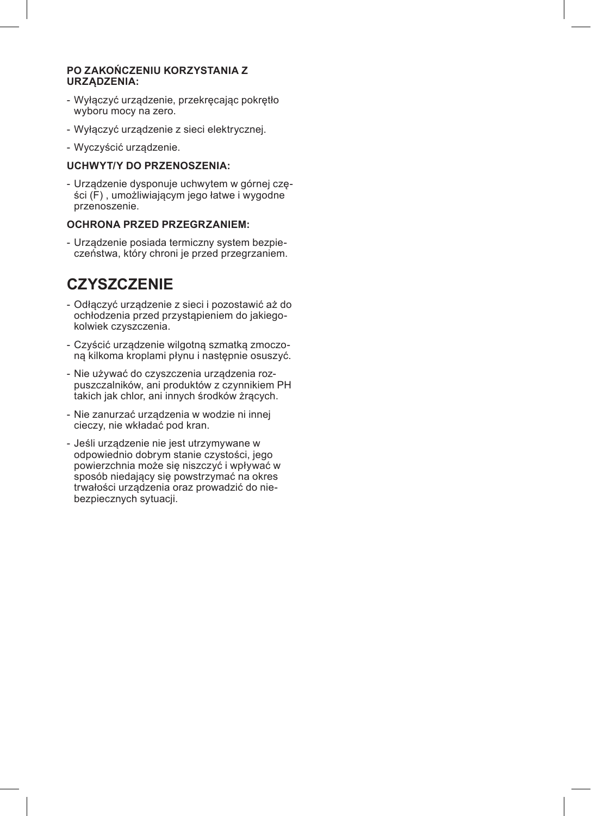#### **PO ZAKOŃCZENIU KORZYSTANIA Z URZĄDZENIA:**

- Wyłączyć urządzenie, przekręcając pokrętło wyboru mocy na zero.
- Wyłączyć urządzenie z sieci elektrycznej.
- Wyczyścić urządzenie.

#### **UCHWYT/Y DO PRZENOSZENIA:**

- Urządzenie dysponuje uchwytem w górnej części (F) , umożliwiającym jego łatwe i wygodne przenoszenie.

#### **OCHRONA PRZED PRZEGRZANIEM:**

- Urządzenie posiada termiczny system bezpieczeństwa, który chroni je przed przegrzaniem.

## **CZYSZCZENIE**

- Odłączyć urządzenie z sieci i pozostawić aż do ochłodzenia przed przystąpieniem do jakiegokolwiek czyszczenia.
- Czyścić urządzenie wilgotną szmatką zmoczoną kilkoma kroplami płynu i następnie osuszyć.
- Nie używać do czyszczenia urządzenia rozpuszczalników, ani produktów z czynnikiem PH takich jak chlor, ani innych środków żrących.
- Nie zanurzać urządzenia w wodzie ni innej cieczy, nie wkładać pod kran.
- Jeśli urządzenie nie jest utrzymywane w odpowiednio dobrym stanie czystości, jego powierzchnia może się niszczyć i wpływać w sposób niedający się powstrzymać na okres trwałości urządzenia oraz prowadzić do niebezpiecznych sytuacji.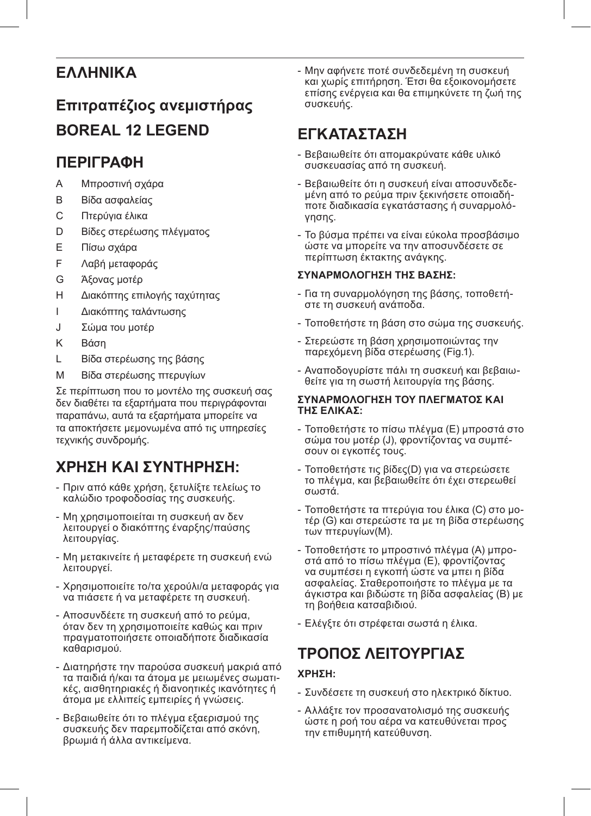# **ΕΛΛΗΝΙΚΆ**

# **Επιτραπέζιος ανεμιστήρας BOREAL 12 LEGEND**

## **ΠΕΡΙΓΡΑΦΉ**

- A Μπροστινή σχάρα
- B Βίδα ασφαλείας
- C Πτερύγια έλικα
- D Βίδες στερέωσης πλέγματος
- E Πίσω σχάρα
- F Λαβή μεταφοράς
- G Άξονας μοτέρ
- H Διακόπτης επιλογής ταχύτητας
- I Διακόπτης ταλάντωσης
- J Σώμα του μοτέρ
- K Βάση
- L Βίδα στερέωσης της βάσης
- M Βίδα στερέωσης πτερυγίων

Σε περίπτωση που το μοντέλο της συσκευή σας δεν διαθέτει τα εξαρτήματα που περιγράφονται παραπάνω, αυτά τα εξαρτήματα μπορείτε να τα αποκτήσετε μεμονωμένα από τις υπηρεσίες τεχνικής συνδρομής.

# **ΧΡΉΣΗ ΚΑΙ ΣΥΝΤΉΡΗΣΗ:**

- Πριν από κάθε χρήση, ξετυλίξτε τελείως το καλώδιο τροφοδοσίας της συσκευής.
- Μη χρησιμοποιείται τη συσκευή αν δεν λειτουργεί ο διακόπτης έναρξης/παύσης λειτουργίας.
- Μη μετακινείτε ή μεταφέρετε τη συσκευή ενώ λειτουργεί.
- Χρησιμοποιείτε το/τα χερούλι/α μεταφοράς για να πιάσετε ή να μεταφέρετε τη συσκευή.
- Αποσυνδέετε τη συσκευή από το ρεύμα, όταν δεν τη χρησιμοποιείτε καθώς και πριν πραγματοποιήσετε οποιαδήποτε διαδικασία καθαρισμού.
- Διατηρήστε την παρούσα συσκευή μακριά από τα παιδιά ή/και τα άτομα με μειωμένες σωματικές, αισθητηριακές ή διανοητικές ικανότητες ή άτομα με ελλιπείς εμπειρίες ή γνώσεις.
- Βεβαιωθείτε ότι το πλέγμα εξαερισμού της συσκευής δεν παρεμποδίζεται από σκόνη, βρωμιά ή άλλα αντικείμενα.

- Μην αφήνετε ποτέ συνδεδεμένη τη συσκευή και χωρίς επιτήρηση. Έτσι θα εξοικονομήσετε επίσης ενέργεια και θα επιμηκύνετε τη ζωή της συσκευής.

## **ΕΓΚΑΤΆΣΤΑΣΗ**

- Βεβαιωθείτε ότι απομακρύνατε κάθε υλικό συσκευασίας από τη συσκευή.
- Βεβαιωθείτε ότι η συσκευή είναι αποσυνδεδεμένη από το ρεύμα πριν ξεκινήσετε οποιαδήποτε διαδικασία εγκατάστασης ή συναρμολόγησης.
- Το βύσμα πρέπει να είναι εύκολα προσβάσιμο ώστε να μπορείτε να την αποσυνδέσετε σε περίπτωση έκτακτης ανάγκης.

## **ΣΥΝΑΡΜΟΛΌΓΗΣΗ ΤΗΣ ΒΆΣΗΣ:**

- Για τη συναρμολόγηση της βάσης, τοποθετήστε τη συσκευή ανάποδα.
- Τοποθετήστε τη βάση στο σώμα της συσκευής.
- Στερεώστε τη βάση χρησιμοποιώντας την παρεχόμενη βίδα στερέωσης (Fig.1).
- Αναποδογυρίστε πάλι τη συσκευή και βεβαιωθείτε για τη σωστή λειτουργία της βάσης.

### **ΣΥΝΑΡΜΟΛΌΓΗΣΗ ΤΟΥ ΠΛΈΓΜΑΤΟΣ ΚΑΙ ΤΗΣ ΈΛΙΚΑΣ:**

- Τοποθετήστε το πίσω πλέγμα (E) μπροστά στο σώμα του μοτέρ (J), φροντίζοντας να συμπέσουν οι εγκοπές τους.
- Τοποθετήστε τις βίδες(D) για να στερεώσετε το πλέγμα, και βεβαιωθείτε ότι έχει στερεωθεί σωστά.
- Τοποθετήστε τα πτερύγια του έλικα (C) στο μοτέρ (G) και στερεώστε τα με τη βίδα στερέωσης των πτερυγίων(M).
- Τοποθετήστε το μπροστινό πλέγμα (A) μπροστά από το πίσω πλέγμα (E), φροντίζοντας να συμπέσει η εγκοπή ώστε να μπει η βίδα ασφαλείας. Σταθεροποιήστε το πλέγμα με τα άγκιστρα και βιδώστε τη βίδα ασφαλείας (B) με τη βοήθεια κατσαβιδιού.
- Ελέγξτε ότι στρέφεται σωστά η έλικα.

# **ΤΡΌΠΟΣ ΛΕΙΤΟΥΡΓΊΑΣ**

## **ΧΡΉΣΗ:**

- Συνδέσετε τη συσκευή στο ηλεκτρικό δίκτυο.
- Αλλάξτε τον προσανατολισμό της συσκευής ώστε η ροή του αέρα να κατευθύνεται προς την επιθυμητή κατεύθυνση.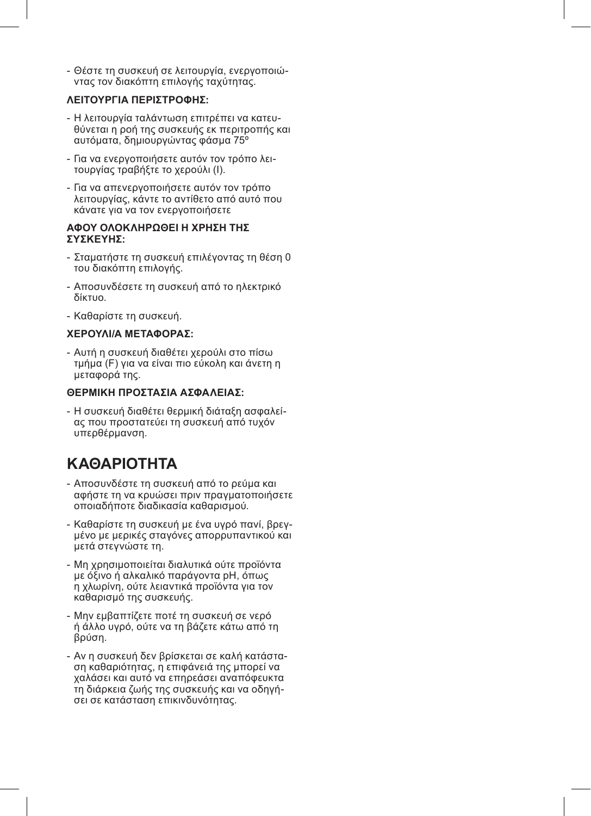- Θέστε τη συσκευή σε λειτουργία, ενεργοποιώντας τον διακόπτη επιλογής ταχύτητας.

#### **ΛΕΙΤΟΥΡΓΊΑ ΠΕΡΙΣΤΡΟΦΉΣ:**

- Η λειτουργία ταλάντωση επιτρέπει να κατευθύνεται η ροή της συσκευής εκ περιτροπής και αυτόματα, δημιουργώντας φάσμα 75º
- Για να ενεργοποιήσετε αυτόν τον τρόπο λειτουργίας τραβήξτε το χερούλι (I).
- Για να απενεργοποιήσετε αυτόν τον τρόπο λειτουργίας, κάντε το αντίθετο από αυτό που κάνατε για να τον ενεργοποιήσετε

#### **ΑΦΟΎ ΟΛΟΚΛΗΡΩΘΕΊ Η ΧΡΉΣΗ ΤΗΣ ΣΥΣΚΕΥΉΣ:**

- Σταματήστε τη συσκευή επιλέγοντας τη θέση 0 του διακόπτη επιλογής.
- Αποσυνδέσετε τη συσκευή από το ηλεκτρικό δίκτυο.
- Καθαρίστε τη συσκευή.

#### **ΧΕΡΟΎΛΙ/Α ΜΕΤΑΦΟΡΆΣ:**

- Αυτή η συσκευή διαθέτει χερούλι στο πίσω τμήμα (F) για να είναι πιο εύκολη και άνετη η μεταφορά της.

### **ΘΕΡΜΙΚΉ ΠΡΟΣΤΑΣΊΑ ΑΣΦΑΛΕΊΑΣ:**

- Η συσκευή διαθέτει θερμική διάταξη ασφαλείας που προστατεύει τη συσκευή από τυχόν υπερθέρμανση.

# **ΚΑΘΑΡΙΌΤΗΤΑ**

- Αποσυνδέστε τη συσκευή από το ρεύμα και αφήστε τη να κρυώσει πριν πραγματοποιήσετε οποιαδήποτε διαδικασία καθαρισμού.
- Καθαρίστε τη συσκευή με ένα υγρό πανί, βρεγμένο με μερικές σταγόνες απορρυπαντικού και μετά στεγνώστε τη.
- Μη χρησιμοποιείται διαλυτικά ούτε προϊόντα με όξινο ή αλκαλικό παράγοντα pH, όπως η χλωρίνη, ούτε λειαντικά προϊόντα για τον καθαρισμό της συσκευής.
- Μην εμβαπτίζετε ποτέ τη συσκευή σε νερό ή άλλο υγρό, ούτε να τη βάζετε κάτω από τη βρύση.
- Αν η συσκευή δεν βρίσκεται σε καλή κατάσταση καθαριότητας, η επιφάνειά της μπορεί να χαλάσει και αυτό να επηρεάσει αναπόφευκτα τη διάρκεια ζωής της συσκευής και να οδηγήσει σε κατάσταση επικινδυνότητας.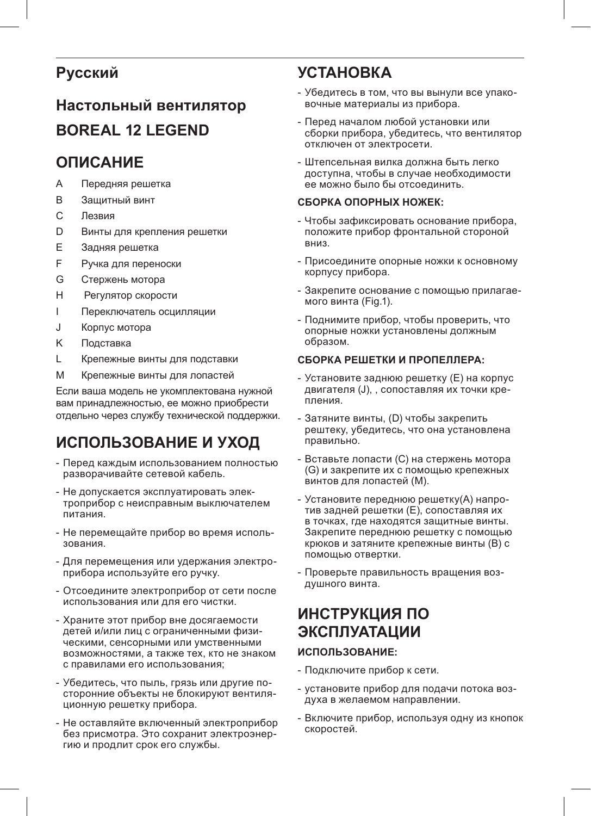# **Русский**

# **Настольный вентилятор BOREAL 12 LEGEND**

## **ОПИСАНИЕ**

- A Передняя решетка
- B Защитный винт
- C Лезвия
- D Винты для крепления решетки
- E Задняя решетка
- F Ручка для переноски
- G Стержень мотора
- H Регулятор скорости
- I Переключатель осцилляции
- J Корпус мотора
- K Подставка
- L Крепежные винты для подставки
- M Крепежные винты для лопастей

Если ваша модель не укомплектована нужной вам принадлежностью, ее можно приобрести отдельно через службу технической поддержки.

# **ИСПОЛЬЗОВАНИЕ И УХОД**

- Перед каждым использованием полностью разворачивайте сетевой кабель.
- Не допускается эксплуатировать электроприбор с неисправным выключателем питания.
- Не перемещайте прибор во время использования.
- Для перемещения или удержания электроприбора используйте его ручку.
- Отсоедините электроприбор от сети после использования или для его чистки.
- Храните этот прибор вне досягаемости детей и/или лиц с ограниченными физическими, сенсорными или умственными возможностями, а также тех, кто не знаком с правилами его использования;
- Убедитесь, что пыль, грязь или другие посторонние объекты не блокируют вентиляционную решетку прибора.
- Не оставляйте включенный электроприбор без присмотра. Это сохранит электроэнергию и продлит срок его службы.

# **УСТАНОВКА**

- Убедитесь в том, что вы вынули все упаковочные материалы из прибора.
- Перед началом любой установки или сборки прибора, убедитесь, что вентилятор отключен от электросети.
- Штепсельная вилка должна быть легко доступна, чтобы в случае необходимости ее можно было бы отсоединить.

### **СБОРКА ОПОРНЫХ НОЖЕК:**

- Чтобы зафиксировать основание прибора, положите прибор фронтальной стороной вниз.
- Присоедините опорные ножки к основному корпусу прибора.
- Закрепите основание с помощью прилагаемого винта (Fig.1).
- Поднимите прибор, чтобы проверить, что опорные ножки установлены должным образом.

## **СБОРКА РЕШЕТКИ И ПРОПЕЛЛЕРА:**

- Установите заднюю решетку (E) на корпус двигателя (J), , сопоставляя их точки крепления.
- Затяните винты, (D) чтобы закрепить рештеку, убедитесь, что она установлена правильно.
- Вставьте лопасти (C) на стержень мотора (G) и закрепите их с помощью крепежных винтов для лопастей (M).
- Установите переднюю решетку(A) напротив задней решетки (E), сопоставляя их в точках, где находятся защитные винты. Закрепите переднюю решетку с помощью крюков и затяните крепежные винты (B) с помощью отвертки.
- Проверьте правильность вращения воздушного винта.

# **ИНСТРУКЦИЯ ПО ЭКСПЛУАТАЦИИ**

### **ИСПОЛЬЗОВАНИЕ:**

- Подключите прибор к сети.
- установите прибор для подачи потока воздуха в желаемом направлении.
- Включите прибор, используя одну из кнопок скоростей.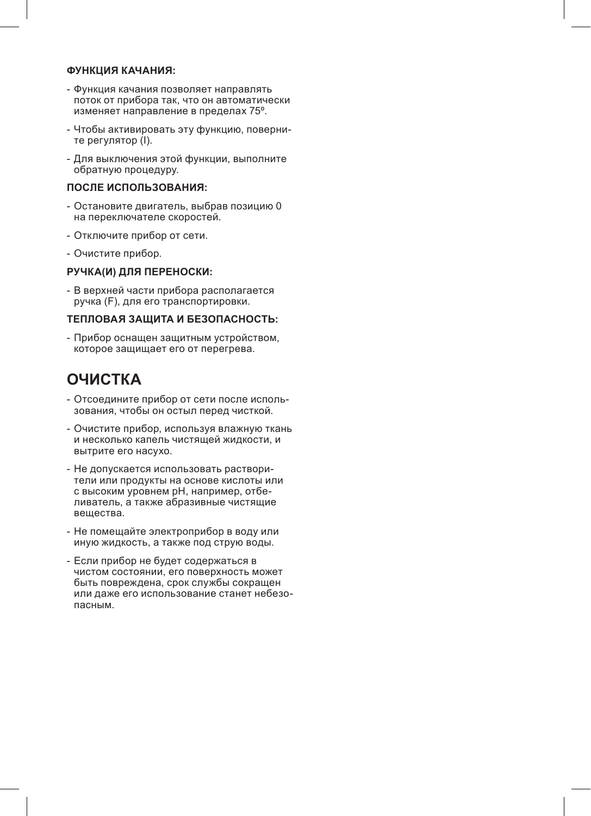#### **ФУНКЦИЯ КАЧАНИЯ:**

- Функция качания позволяет направлять поток от прибора так, что он автоматически изменяет направление в пределах 75º.
- Чтобы активировать эту функцию, поверните регулятор (I).
- Для выключения этой функции, выполните обратную процедуру.

#### **ПОСЛЕ ИСПОЛЬЗОВАНИЯ:**

- Остановите двигатель, выбрав позицию 0 на переключателе скоростей.
- Отключите прибор от сети.
- Очистите прибор.

#### **РУЧКА(И) ДЛЯ ПЕРЕНОСКИ:**

- В верхней части прибора располагается ручка (F), для его транспортировки.

### **ТЕПЛОВАЯ ЗАЩИТА И БЕЗОПАСНОСТЬ:**

- Прибор оснащен защитным устройством, которое защищает его от перегрева.

## **ОЧИСТКА**

- Отсоедините прибор от сети после использования, чтобы он остыл перед чисткой.
- Очистите прибор, используя влажную ткань и несколько капель чистящей жидкости, и вытрите его насухо.
- Не допускается использовать растворители или продукты на основе кислоты или с высоким уровнем pH, например, отбеливатель, а также абразивные чистящие вещества.
- Не помещайте электроприбор в воду или иную жидкость, а также под струю воды.
- Если прибор не будет содержаться в чистом состоянии, его поверхность может быть повреждена, срок службы сокращен или даже его использование станет небезопасным.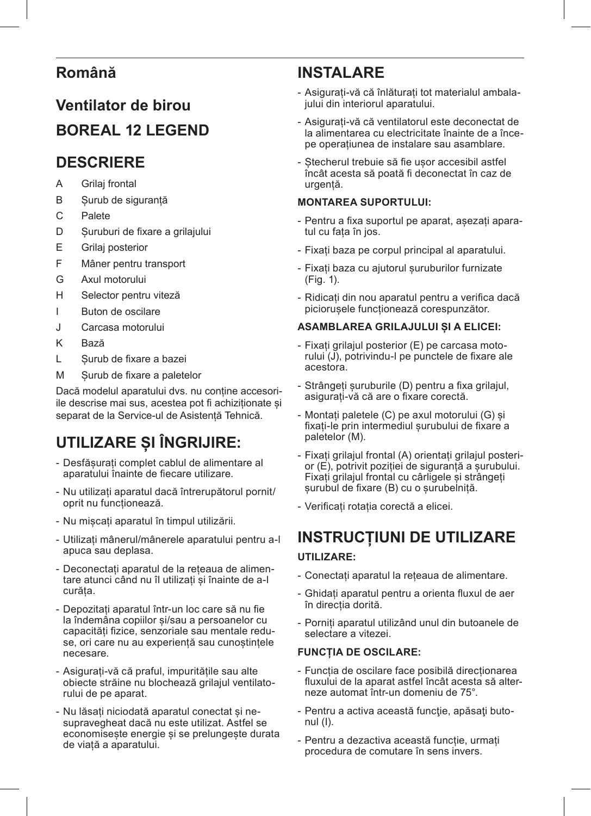## **Română**

# **Ventilator de birou BOREAL 12 LEGEND**

## **DESCRIERE**

- A Grilaj frontal
- B Șurub de siguranță
- C Palete
- D Suruburi de fixare a grilajului
- E Grilaj posterior
- F Mâner pentru transport
- G Axul motorului
- H Selector pentru viteză
- I Buton de oscilare
- J Carcasa motorului
- K Bază
- L Șurub de fixare a bazei
- M Surub de fixare a paletelor

Dacă modelul aparatului dvs. nu conține accesoriile descrise mai sus, acestea pot fi achiziționate și separat de la Service-ul de Asistență Tehnică.

# **UTILIZARE ȘI ÎNGRIJIRE:**

- Desfășurați complet cablul de alimentare al aparatului înainte de fiecare utilizare.
- Nu utilizați aparatul dacă întrerupătorul pornit/ oprit nu funcționează.
- Nu mișcați aparatul în timpul utilizării.
- Utilizați mânerul/mânerele aparatului pentru a-l apuca sau deplasa.
- Deconectați aparatul de la rețeaua de alimentare atunci când nu îl utilizați și înainte de a-l curăța.
- Depozitați aparatul într-un loc care să nu fie la îndemâna copiilor și/sau a persoanelor cu capacități fizice, senzoriale sau mentale reduse, ori care nu au experiență sau cunoștințele necesare.
- Asigurați-vă că praful, impuritățile sau alte obiecte străine nu blochează grilajul ventilatorului de pe aparat.
- Nu lăsați niciodată aparatul conectat și nesupravegheat dacă nu este utilizat. Astfel se economisește energie și se prelungește durata de viață a aparatului.

# **INSTALARE**

- Asigurați-vă că înlăturați tot materialul ambalajului din interiorul aparatului.
- Asigurați-vă că ventilatorul este deconectat de la alimentarea cu electricitate înainte de a începe operațiunea de instalare sau asamblare.
- Stecherul trebuie să fie usor accesibil astfel încât acesta să poată fi deconectat în caz de urgență.

## **MONTAREA SUPORTULUI:**

- Pentru a fixa suportul pe aparat, așezați aparatul cu fața în jos.
- Fixați baza pe corpul principal al aparatului.
- Fixați baza cu ajutorul șuruburilor furnizate (Fig. 1).
- Ridicați din nou aparatul pentru a verifica dacă piciorușele funcționează corespunzător.

## **ASAMBLAREA GRILAJULUI ȘI A ELICEI:**

- Fixați grilajul posterior (E) pe carcasa motorului (J), potrivindu-l pe punctele de fixare ale acestora.
- Strângeți șuruburile (D) pentru a fixa grilajul, asigurați-vă că are o fixare corectă.
- Montați paletele (C) pe axul motorului (G) și fixați-le prin intermediul șurubului de fixare a paletelor (M).
- Fixați grilajul frontal (A) orientați grilajul posterior (E), potrivit poziției de siguranță a șurubului. Fixați grilajul frontal cu cârligele și strângeți șurubul de fixare (B) cu o șurubelniță.
- Verificați rotația corectă a elicei.

## **INSTRUCȚIUNI DE UTILIZARE**

## **UTILIZARE:**

- Conectați aparatul la rețeaua de alimentare.
- Ghidați aparatul pentru a orienta fluxul de aer în direcția dorită.
- Porniți aparatul utilizând unul din butoanele de selectare a vitezei.

## **FUNCȚIA DE OSCILARE:**

- Funcția de oscilare face posibilă direcționarea fluxului de la aparat astfel încât acesta să alterneze automat într-un domeniu de 75°.
- Pentru a activa această funcţie, apăsaţi butonul (I).
- Pentru a dezactiva această funcție, urmați procedura de comutare în sens invers.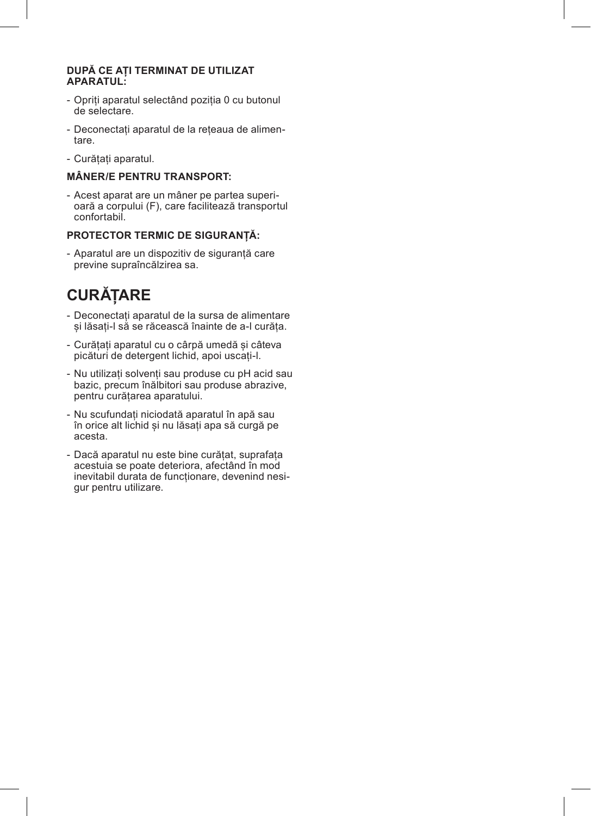### **DUPĂ CE AȚI TERMINAT DE UTILIZAT APARATUL:**

- Opriți aparatul selectând poziția 0 cu butonul de selectare.
- Deconectați aparatul de la rețeaua de alimentare.
- Curățați aparatul.

#### **MÂNER/E PENTRU TRANSPORT:**

- Acest aparat are un mâner pe partea superioară a corpului (F), care facilitează transportul confortabil.

#### **PROTECTOR TERMIC DE SIGURANȚĂ:**

- Aparatul are un dispozitiv de siguranță care previne supraîncălzirea sa.

# **CURĂȚARE**

- Deconectați aparatul de la sursa de alimentare și lăsați-l să se răcească înainte de a-l curăța.
- Curățați aparatul cu o cârpă umedă și câteva picături de detergent lichid, apoi uscați-l.
- Nu utilizați solvenți sau produse cu pH acid sau bazic, precum înălbitori sau produse abrazive, pentru curățarea aparatului.
- Nu scufundați niciodată aparatul în apă sau în orice alt lichid și nu lăsați apa să curgă pe acesta.
- Dacă aparatul nu este bine curățat, suprafața acestuia se poate deteriora, afectând în mod inevitabil durata de funcționare, devenind nesigur pentru utilizare.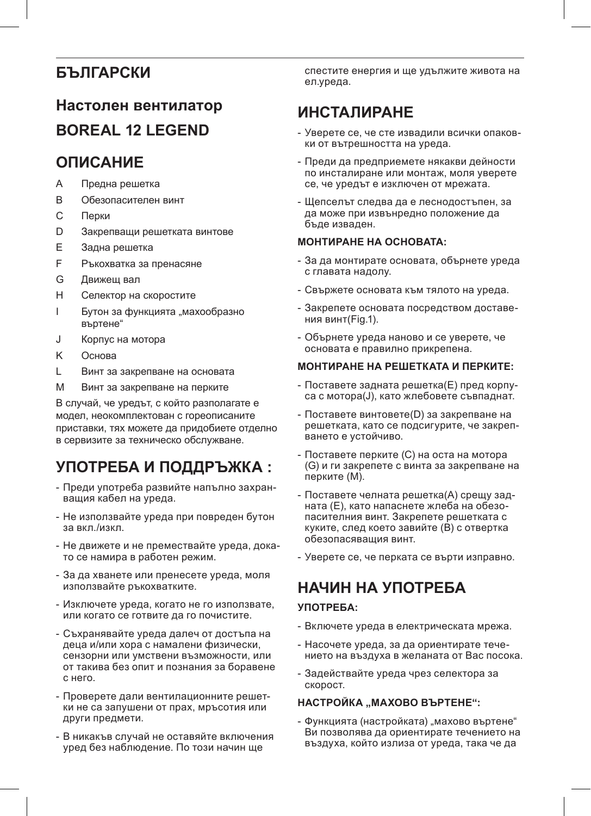# **БЪЛГАРСКИ**

# **Настолен вентилатор BOREAL 12 LEGEND**

## **ОПИСАНИЕ**

- A Предна решетка
- B Обезопасителен винт
- C Перки
- D Закрепващи решетката винтове
- E Задна решетка
- F Ръкохватка за пренасяне
- G Движещ вал
- H Селектор на скоростите
- I Бутон за функцията "махообразно въртене"
- J Корпус на мотора
- K Основа
- L Винт за закрепване на основата
- M Винт за закрепване на перките

В случай, че уредът, с който разполагате е модел, неокомплектован с гореописаните приставки, тях можете да придобиете отделно в сервизите за техническо обслужване.

# **УПОТРЕБА И ПОДДРЪЖКА :**

- Преди употреба развийте напълно захранващия кабел на уреда.
- Не използвайте уреда при повреден бутон за вкл./изкл.
- Не движете и не премествайте уреда, докато се намира в работен режим.
- За да хванете или пренесете уреда, моля използвайте ръкохватките.
- Изключете уреда, когато не го използвате, или когато се готвите да го почистите.
- Съхранявайте уреда далеч от достъпа на деца и/или хора с намалени физически, сензорни или умствени възможности, или от такива без опит и познания за боравене с него.
- Проверете дали вентилационните решетки не са запушени от прах, мръсотия или други предмети.
- В никакъв случай не оставяйте включения уред без наблюдение. По този начин ще

спестите енергия и ще удължите живота на ел.уреда.

# **ИНСТАЛИРАНЕ**

- Уверете се, че сте извадили всички опаковки от вътрешността на уреда.
- Преди да предприемете някакви дейности по инсталиране или монтаж, моля уверете се, че уредът е изключен от мрежата.
- Щепселът следва да е леснодостъпен, за да може при извънредно положение да бъде изваден.

#### **МОНТИРАНЕ НА ОСНОВАТА:**

- За да монтирате основата, обърнете уреда с главата надолу.
- Свържете основата към тялото на уреда.
- Закрепете основата посредством доставения винт(Fig.1).
- Обърнете уреда наново и се уверете, че основата е правилно прикрепена.

### **МОНТИРАНЕ НА РЕШЕТКАТA И ПЕРКИТЕ:**

- Поставете задната решетка(E) пред корпуса с мотора(J), като жлебовете съвпаднат.
- Поставете винтовете(D) за закрепване на решетката, като се подсигурите, че закрепването е устойчиво.
- Поставете перките (C) на оста на мотора (G) и ги закрепете с винта за закрепване на перките (M).
- Поставете челната решетка(A) срещу задната (E), като напаснете жлеба на обезопасителния винт. Закрепете решетката с куките, след което завийте (B) с отвертка обезопасяващия винт.
- Уверете се, че перката се върти изправно.

# **НАЧИН НА УПОТРЕБА**

### **УПОТРЕБА:**

- Включете уреда в електрическата мрежа.
- Насочете уреда, за да ориентирате течението на въздуха в желаната от Вас посока.
- Задействайте уреда чрез селектора за скорост.

## НАСТРОЙКА "МАХОВО ВЪРТЕНЕ":

- Функцията (настройката) "махово въртене" Ви позволява да ориентирате течението на въздуха, който излиза от уреда, така че да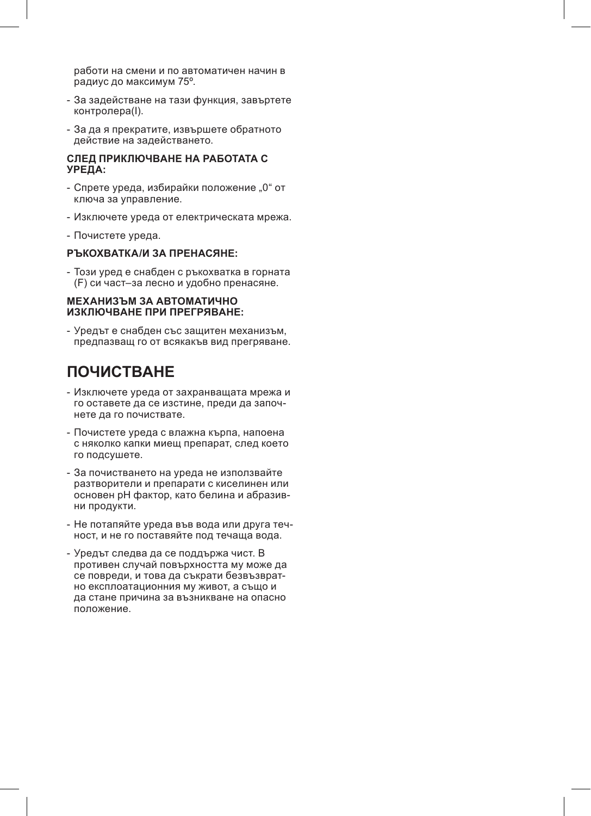работи на смени и по автоматичен начин в радиус до максимум 75º.

- За задействане на тази функция, завъртете контролера(I).
- За да я прекратите, извършете обратното действие на задействането.

#### **СЛЕД ПРИКЛЮЧВАНЕ НА РАБОТАТА С УРЕДА:**

- Спрете уреда, избирайки положение "0" от ключа за управление.
- Изключете уреда от електрическата мрежа.
- Почистете уреда.

#### **РЪКОХВАТКА/И ЗА ПРЕНАСЯНЕ:**

- Този уред е снабден с ръкохватка в горната (F) си част–за лесно и удобно пренасяне.

#### **МЕХАНИЗЪМ ЗА АВТОМАТИЧНО ИЗКЛЮЧВАНЕ ПРИ ПРЕГРЯВАНЕ:**

- Уредът е снабден със защитен механизъм, предпазващ го от всякакъв вид прегряване.

## **ПОЧИСТВАНЕ**

- Изключете уреда от захранващата мрежа и го оставете да се изстине, преди да започнете да го почиствате.
- Почистете уреда с влажна кърпа, напоена с няколко капки миещ препарат, след което го подсушете.
- За почистването на уреда не използвайте разтворители и препарати с киселинен или основен pH фактор, като белина и абразивни продукти.
- Не потапяйте уреда във вода или друга течност, и не го поставяйте под течаща вода.
- Уредът следва да се поддържа чист. В противен случай повърхността му може да се повреди, и това да съкрати безвъзвратно експлоатационния му живот, а също и да стане причина за възникване на опасно положение.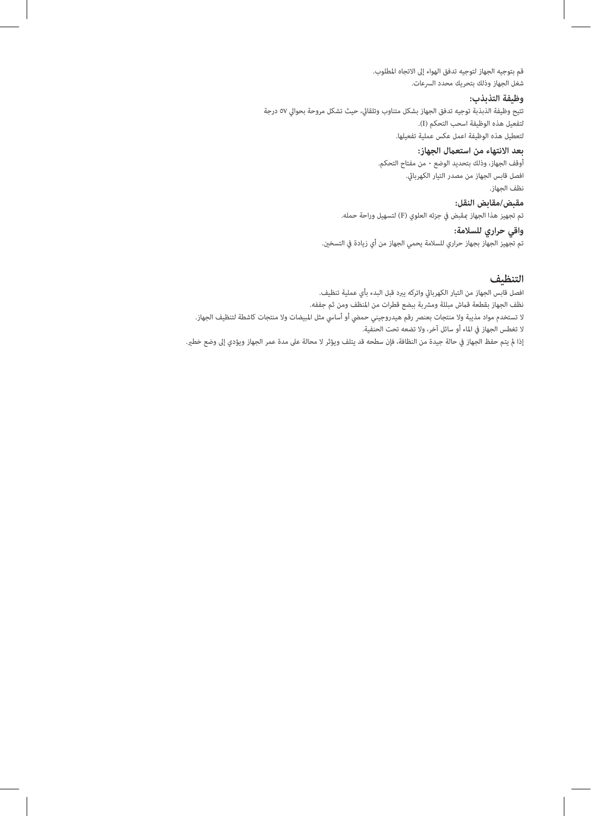قم بتوجيه الجهاز لتوجيه تدفق الهواء إىل االتجاه املطلوب. شغل الجهاز وذلك بتحريك محدد السرعات.

**وظيفة التذبذب:** تتيح وظيفة الذبذبة توجيه تدفق الجهاز بشكل متناوب وتلقايئ، حيث تشكل مروحة بحوايل 57 درجة لتفعيل هذه الوظيفة اسحب التحكم )I). لتعطيل هذه الوظيفة اعمل عكس عملية تفعيلها.

> **بعد االنتهاء من استعامل الجهاز:** أوقف الجهاز، وذلك بتحديد الوضع • من مفتاح التحكم. افصل قابس الجهاز من مصدر التيار الكهربايئ. نظف الجهاز.

**مقبض/مقابض النقل:** تم تجهيز هذا الجهاز عقبض في جزئه العلوي (F) لتسهيل وراحة حمله.

**واقي حراري للسالمة:** تم تجهيز الجهاز بجهاز حراري للسالمة يحمي الجهاز من أي زيادة يف التسخني.

### **التنظيف**

افصل قابس الجهاز من التيار الكهربايئ واتركه يربد قبل البدء بأي عملية تنظيف. نظف الجهاز بقطعة قماش مبللة ومشربة ببضع قطرات من المنظف ومن ثم جففه. لا تستخدم مواد مذيبة ولا منتجات بعنصر رقم هيدروجيني حمضي أو أساسي مثل المبيضات ولا منتجات كاشطة لتنظيف الجهاز. ال تغطس الجهاز يف املاء أو سائل آخر، وال تضعه تحت الحنفية. إذا لم يتم حفظ الجهاز في حالة جيدة من النظافة، فإن سطحه قد يتلف ويؤثر لا محالة على مدة عمر الجهاز ويؤدي إلى وضع خطير.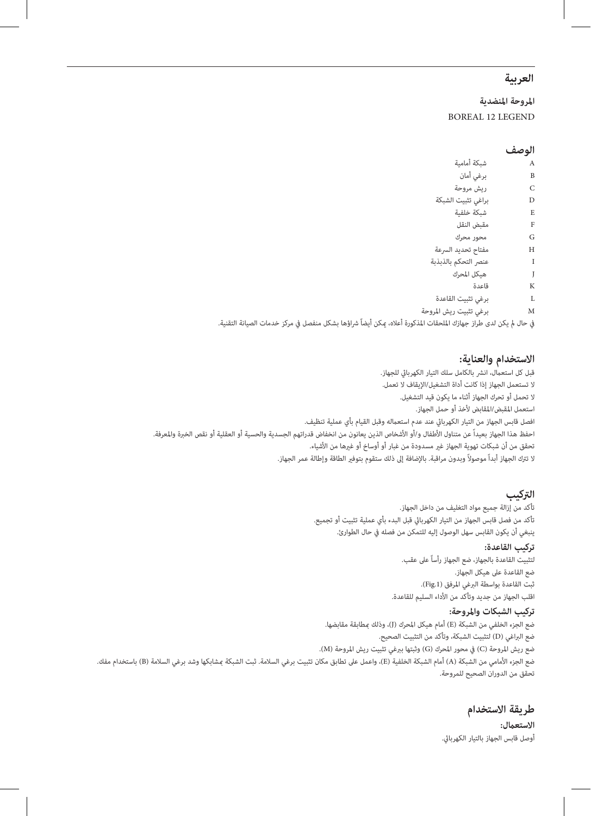#### العر سة

**املروحة املنضدية** BOREAL 12 LEGEND

#### **الوصف**

| А            | شبكة أمامية            |
|--------------|------------------------|
| B            | برغي أمان              |
| $\mathsf{C}$ | ريش مروحة              |
| D            | براغي تثبيت الشبكة     |
| E            | شبكة خلفية             |
| F            | مقبض النقل             |
| G            | محور محرك              |
| Н            | مفتاح تحديد السرعة     |
| I            | عنصر التحكم بالذبذبة   |
| J            | هيكل المحرك            |
| K            | قاعدة                  |
| L            | برغى تثبيت القاعدة     |
| M            | برغي تثبيت ريش المروحة |
|              |                        |

يف حال مل يكن لدى طراز جهازك امللحقات املذكورة أعاله، ميكن أيضاً رشاؤها بشكل منفصل يف مركز خدمات الصيانة التقنية.

#### **االستخدام والعناية:**

قبل كل استعمال، انشر بالكامل سلك التيار الكهربائي للجهاز. لا تستعمل الجهاز إذا كانت أداة التشغيل/الإيقاف لا تعمل. ال تحمل أو تحرك الجهاز أثناء ما يكون قيد التشغيل. استعمل املقبض/املقابض ألخذ أو حمل الجهاز. افصل قابس الجهاز من التيار الكهربائي عند عدم استعماله وقبل القيام بأي عملية تنظيف. احفظ هذا الجهاز بعيداً عن متناول األطفال و/أو األشخاص الذين يعانون من انخفاض قدراتهم الجسدية والحسية أو العقلية أو نقص الخربة واملعرفة. تحقق من أن شبكات تهوية الجهاز غري مسدودة من غبار أو أوساخ أو غريها من األشياء. ال ترتك الجهاز أبداً موصوالً وبدون مراقبة. باإلضافة إىل ذلك ستقوم بتوفري الطاقة وإطالة عمر الجهاز.

## **الرتكيب**

تأكد من إزالة جميع مواد التغليف من داخل الجهاز. تأكد من فصل قابس الجهاز من التيار الكهربايئ قبل البدء بأي عملية تثبيت أو تجميع. ينبغي أن يكون القابس سهل الوصول إليه للتمكن من فصله يف حال الطوارئ.

#### **تركيب القاعدة:**

لتثبيت القاعدة بالجهاز، ضع الجهاز رأساً عىل عقب. ضع القاعدة عىل هيكل الجهاز. ثبت القاعدة بواسطة الربغي املرفق ).1Fig). اقلب الجهاز من جديد وتأكد من الأداء السليم للقاعدة.

#### **تركيب الشبكات واملروحة:**

ضع الجزء الخلفي من الشبكة (E) أمام هيكل المحرك (J)، وذلك مطابقة مقابضها. ضع الرباغي )D )لتثبيت الشبكة، وتأكد من التثبيت الصحيح. ضع ريش المروحة (C) في محور المحرك (G) وثبتها ببرغي تثبيت ريش المروحة (M). ضع الجزء الأمامي من الشبكة (A) أمام الشبكة الخلفية (E)، واعمل على تطابق مكان تثبيت برغي السلامة. ثبت الشبكة مشابكها وشد برغي السلامة (B) باستخدام مفك. تحقق من الدوران الصحيح للمروحة.

## **طريقة االستخدام**

**االستعامل:** أوصل قابس الجهاز بالتيار الكهربايئ.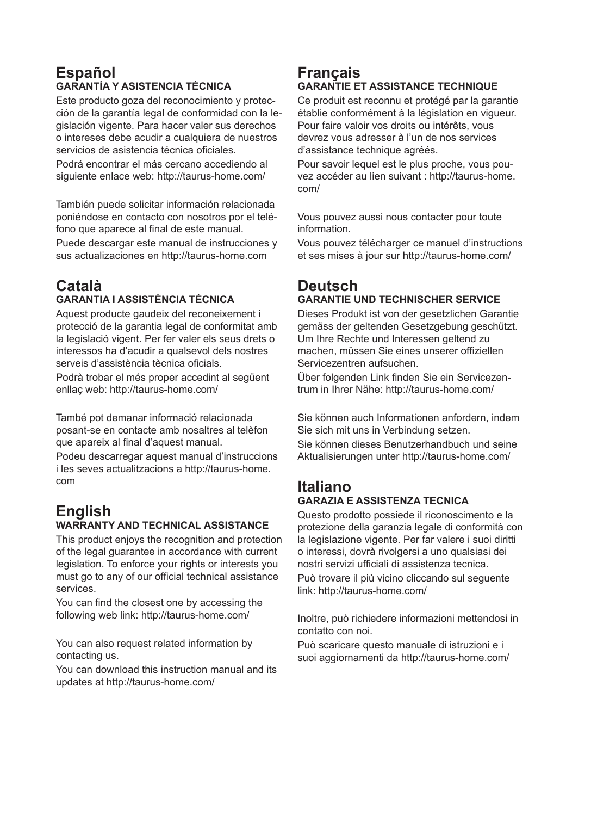## **Español GARANTÍA Y ASISTENCIA TÉCNICA**

Este producto goza del reconocimiento y protección de la garantía legal de conformidad con la legislación vigente. Para hacer valer sus derechos o intereses debe acudir a cualquiera de nuestros servicios de asistencia técnica oficiales.

Podrá encontrar el más cercano accediendo al siguiente enlace web: http://taurus-home.com/

También puede solicitar información relacionada poniéndose en contacto con nosotros por el teléfono que aparece al final de este manual.

Puede descargar este manual de instrucciones y sus actualizaciones en http://taurus-home.com

# **Català**

## **GARANTIA I ASSISTÈNCIA TÈCNICA**

Aquest producte gaudeix del reconeixement i protecció de la garantia legal de conformitat amb la legislació vigent. Per fer valer els seus drets o interessos ha d'acudir a qualsevol dels nostres serveis d'assistència tècnica oficials.

Podrà trobar el més proper accedint al següent enllaç web: http://taurus-home.com/

També pot demanar informació relacionada posant-se en contacte amb nosaltres al telèfon que apareix al final d'aquest manual.

Podeu descarregar aquest manual d'instruccions i les seves actualitzacions a http://taurus-home. com

## **English WARRANTY AND TECHNICAL ASSISTANCE**

This product enjoys the recognition and protection of the legal guarantee in accordance with current legislation. To enforce your rights or interests you must go to any of our official technical assistance services.

You can find the closest one by accessing the following web link: http://taurus-home.com/

You can also request related information by contacting us.

You can download this instruction manual and its updates at http://taurus-home.com/

## **Français GARANTIE ET ASSISTANCE TECHNIQUE**

Ce produit est reconnu et protégé par la garantie établie conformément à la législation en vigueur. Pour faire valoir vos droits ou intérêts, vous devrez vous adresser à l'un de nos services d'assistance technique agréés.

Pour savoir lequel est le plus proche, vous pouvez accéder au lien suivant : http://taurus-home. com/

Vous pouvez aussi nous contacter pour toute information.

Vous pouvez télécharger ce manuel d'instructions et ses mises à jour sur http://taurus-home.com/

## **Deutsch GARANTIE UND TECHNISCHER SERVICE**

Dieses Produkt ist von der gesetzlichen Garantie gemäss der geltenden Gesetzgebung geschützt. Um Ihre Rechte und Interessen geltend zu machen, müssen Sie eines unserer offiziellen Servicezentren aufsuchen.

Über folgenden Link finden Sie ein Servicezentrum in Ihrer Nähe: http://taurus-home.com/

Sie können auch Informationen anfordern, indem Sie sich mit uns in Verbindung setzen. Sie können dieses Benutzerhandbuch und seine Aktualisierungen unter http://taurus-home.com/

## **Italiano GARAZIA E ASSISTENZA TECNICA**

Questo prodotto possiede il riconoscimento e la protezione della garanzia legale di conformità con la legislazione vigente. Per far valere i suoi diritti o interessi, dovrà rivolgersi a uno qualsiasi dei nostri servizi ufficiali di assistenza tecnica. Può trovare il più vicino cliccando sul seguente link: http://taurus-home.com/

Inoltre, può richiedere informazioni mettendosi in contatto con noi.

Può scaricare questo manuale di istruzioni e i suoi aggiornamenti da http://taurus-home.com/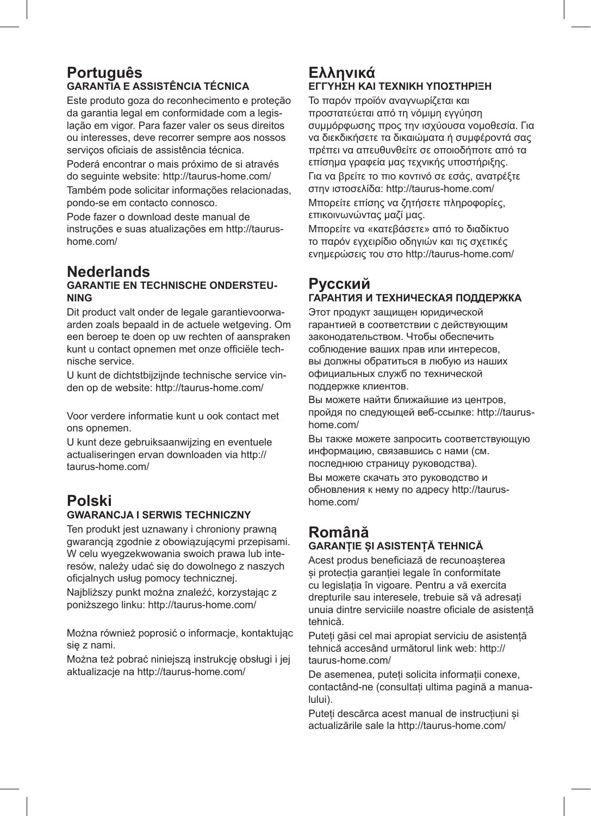## **Português GARANTIA E ASSISTÊNCIA TÉCNICA**

Este produto goza do reconhecimento e proteção da garantia legal em conformidade com a legislação em vigor. Para fazer valer os seus direitos ou interesses, deve recorrer sempre aos nossos servicos oficiais de assistência técnica.

Poderá encontrar o mais próximo de si através do seguinte website: http://taurus-home.com/

Também pode solicitar informações relacionadas, pondo-se em contacto connosco.

Pode fazer o download deste manual de instruções e suas atualizações em http://taurushome.com/

## **Nederlands**

### **GARANTIE EN TECHNISCHE ONDERSTEU-NING**

Dit product valt onder de legale garantievoorwaarden zoals bepaald in de actuele wetgeving. Om een beroep te doen op uw rechten of aanspraken kunt u contact opnemen met onze officiële technische service.

U kunt de dichtstbijzijnde technische service vinden op de website: http://taurus-home.com/

Voor verdere informatie kunt u ook contact met ons opnemen.

U kunt deze gebruiksaanwijzing en eventuele actualiseringen ervan downloaden via http:// taurus-home.com/

## **Polski GWARANCJA I SERWIS TECHNICZNY**

Ten produkt jest uznawany i chroniony prawną gwarancją zgodnie z obowiązującymi przepisami. W celu wyegzekwowania swoich prawa lub interesów, należy udać się do dowolnego z naszych oficjalnych usług pomocy technicznej.

Najbliższy punkt można znaleźć, korzystając z poniższego linku: http://taurus-home.com/

Można również poprosić o informacje, kontaktując się z nami.

Można też pobrać niniejszą instrukcję obsługi i jej aktualizacje na http://taurus-home.com/

## **Ελληνικά ΕΓΓΥΗΣΗ ΚΑΙ ΤΕΧΝΙΚΗ ΥΠΟΣΤΗΡΙΞΗ**

Το παρόν προϊόν αναγνωρίζεται και προστατεύεται από τη νόμιμη εγγύηση συμμόρφωσης προς την ισχύουσα νομοθεσία. Για να διεκδικήσετε τα δικαιώματα ή συμφέροντά σας πρέπει να απευθυνθείτε σε οποιοδήποτε από τα επίσημα γραφεία μας τεχνικής υποστήριξης. Για να βρείτε το πιο κοντινό σε εσάς, ανατρέξτε στην ιστοσελίδα: http://taurus-home.com/ Μπορείτε επίσης να ζητήσετε πληροφορίες, επικοινωνώντας μαζί μας.

Μπορείτε να «κατεβάσετε» από το διαδίκτυο το παρόν εγχειρίδιο οδηγιών και τις σχετικές ενημερώσεις του στο http://taurus-home.com/

## **Русский ГАРАНТИЯ И ТЕХНИЧЕСКАЯ ПОДДЕРЖКА**

Этот продукт защищен юридической гарантией в соответствии с действующим законодательством. Чтобы обеспечить соблюдение ваших прав или интересов, вы должны обратиться в любую из наших официальных служб по технической поддержке клиентов.

Вы можете найти ближайшие из центров, пройдя по следующей веб-ссылке: http://taurushome.com/

Вы также можете запросить соответствующую информацию, связавшись с нами (см. последнюю страницу руководства).

Вы можете скачать это руководство и обновления к нему по адресу http://taurushome.com/

## **Română GARANȚIE ȘI ASISTENȚĂ TEHNICĂ**

Acest produs beneficiază de recunoașterea și protecția garanției legale în conformitate cu legislația în vigoare. Pentru a vă exercita drepturile sau interesele, trebuie să vă adresați unuia dintre serviciile noastre oficiale de asistență tehnică.

Puteți găsi cel mai apropiat serviciu de asistență tehnică accesând următorul link web: http:// taurus-home.com/

De asemenea, puteți solicita informații conexe, contactând-ne (consultați ultima pagină a manualului).

Puteți descărca acest manual de instrucțiuni și actualizările sale la http://taurus-home.com/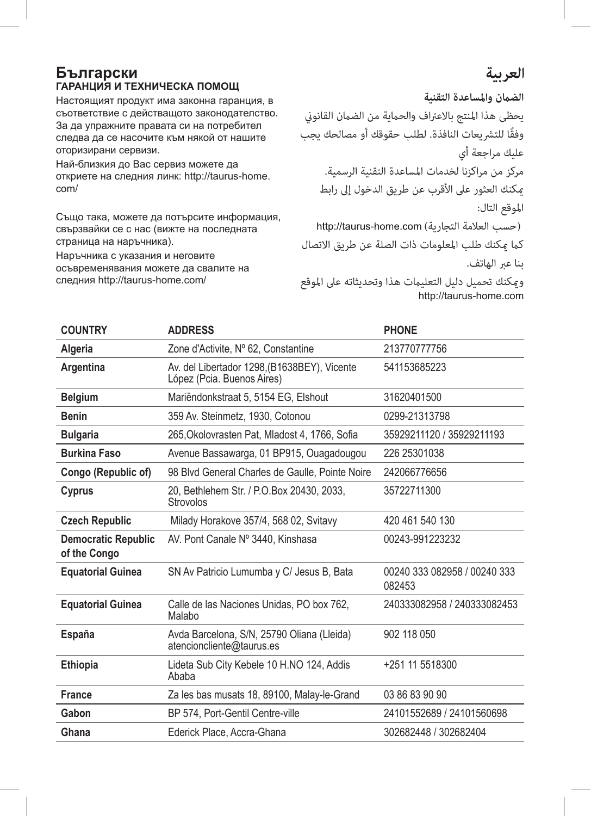## **Български ГАРАНЦИЯ И ТЕХНИЧЕСКА ПОМОЩ**

Настоящият продукт има законна гаранция, в съответствие с действащото законодателство. За да упражните правата си на потребител следва да се насочите към някой от нашите оторизирани сервизи.

Най-близкия до Вас сервиз можете да откриете на следния линк: http://taurus-home. com/

Също така, можете да потърсите информация, свързвайки се с нас (вижте на последната страница на наръчника).

Наръчника с указания и неговите осъвременявания можете да свалите на следния http://taurus-home.com/

**الضامن واملساعدة التقنية** يحظى هذا المنتج بالاعتراف والحماية من الضمان القانوني وفقًا للتشر بعات النافذة. لطلب حقوقك أو مصالحك يجب عليك مراجعة أي مركز من مراكزنا لخدمات املساعدة التقنية الرسمية. ميكنك العثور عىل األقرب عن طريق الدخول إىل رابط املوقع التال: http://taurus-home.com (حسب العلامة التجارية) كام ميكنك طلب املعلومات ذات الصلة عن طريق االتصال بنا عرب الهاتف.

وميكنك تحميل دليل التعليامت هذا وتحديثاته عىل املوقع http://taurus-home.com

| <b>COUNTRY</b>                             | <b>ADDRESS</b>                                                             | <b>PHONE</b>                           |
|--------------------------------------------|----------------------------------------------------------------------------|----------------------------------------|
| Algeria                                    | Zone d'Activite, Nº 62, Constantine                                        | 213770777756                           |
| Argentina                                  | Av. del Libertador 1298, (B1638BEY), Vicente<br>López (Pcia. Buenos Aires) | 541153685223                           |
| <b>Belgium</b>                             | Mariëndonkstraat 5, 5154 EG, Elshout                                       | 31620401500                            |
| <b>Benin</b>                               | 359 Av. Steinmetz, 1930, Cotonou                                           | 0299-21313798                          |
| <b>Bulgaria</b>                            | 265, Okolovrasten Pat, Mladost 4, 1766, Sofia                              | 35929211120 / 35929211193              |
| <b>Burkina Faso</b>                        | Avenue Bassawarga, 01 BP915, Ouagadougou                                   | 226 25301038                           |
| Congo (Republic of)                        | 98 Blvd General Charles de Gaulle, Pointe Noire                            | 242066776656                           |
| Cyprus                                     | 20, Bethlehem Str. / P.O.Box 20430, 2033,<br>Strovolos                     | 35722711300                            |
| <b>Czech Republic</b>                      | Milady Horakove 357/4, 568 02, Svitavy                                     | 420 461 540 130                        |
| <b>Democratic Republic</b><br>of the Congo | AV. Pont Canale Nº 3440. Kinshasa                                          | 00243-991223232                        |
| <b>Equatorial Guinea</b>                   | SN Av Patricio Lumumba y C/ Jesus B, Bata                                  | 00240 333 082958 / 00240 333<br>082453 |
| <b>Equatorial Guinea</b>                   | Calle de las Naciones Unidas, PO box 762,<br>Malabo                        | 240333082958 / 240333082453            |
| España                                     | Avda Barcelona, S/N, 25790 Oliana (Lleida)<br>atencioncliente@taurus.es    | 902 118 050                            |
| <b>Ethiopia</b>                            | Lideta Sub City Kebele 10 H.NO 124, Addis<br>Ababa                         | +251 11 5518300                        |
| <b>France</b>                              | Za les bas musats 18, 89100, Malay-le-Grand                                | 03 86 83 90 90                         |
| Gabon                                      | BP 574, Port-Gentil Centre-ville                                           | 24101552689 / 24101560698              |
| Ghana                                      | Ederick Place, Accra-Ghana                                                 | 302682448 / 302682404                  |

## العريبة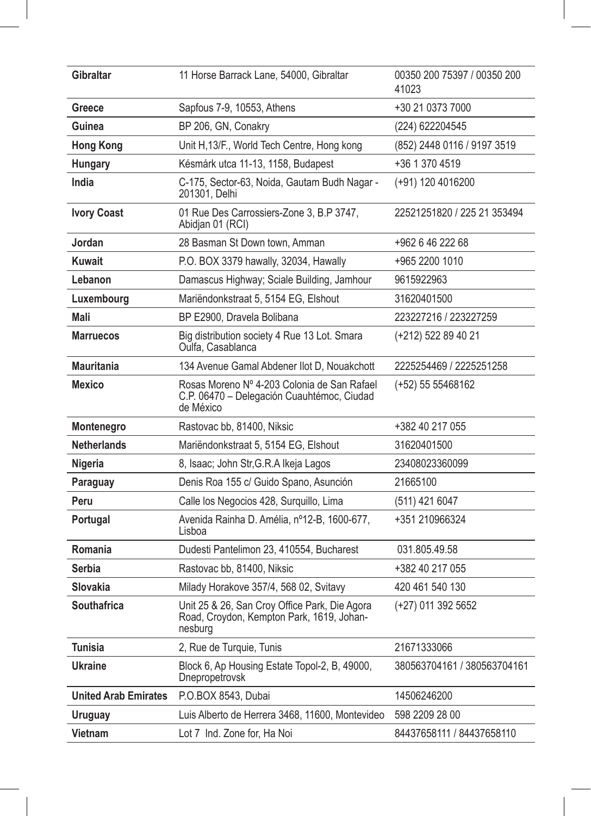| <b>Gibraltar</b>            | 11 Horse Barrack Lane, 54000, Gibraltar                                                                | 00350 200 75397 / 00350 200<br>41023 |
|-----------------------------|--------------------------------------------------------------------------------------------------------|--------------------------------------|
| Greece                      | Sapfous 7-9, 10553, Athens                                                                             | +30 21 0373 7000                     |
| Guinea                      | BP 206, GN, Conakry                                                                                    | (224) 622204545                      |
| <b>Hong Kong</b>            | Unit H, 13/F., World Tech Centre, Hong kong                                                            | (852) 2448 0116 / 9197 3519          |
| Hungary                     | Késmárk utca 11-13, 1158, Budapest                                                                     | +36 1 370 4519                       |
| India                       | C-175, Sector-63, Noida, Gautam Budh Nagar -<br>201301, Delhi                                          | (+91) 120 4016200                    |
| <b>Ivory Coast</b>          | 01 Rue Des Carrossiers-Zone 3, B.P 3747,<br>Abidjan 01 (RCI)                                           | 22521251820 / 225 21 353494          |
| Jordan                      | 28 Basman St Down town, Amman                                                                          | +962 6 46 222 68                     |
| Kuwait                      | P.O. BOX 3379 hawally, 32034, Hawally                                                                  | +965 2200 1010                       |
| Lebanon                     | Damascus Highway; Sciale Building, Jamhour                                                             | 9615922963                           |
| Luxembourg                  | Mariëndonkstraat 5, 5154 EG, Elshout                                                                   | 31620401500                          |
| Mali                        | BP E2900, Dravela Bolibana                                                                             | 223227216 / 223227259                |
| <b>Marruecos</b>            | Big distribution society 4 Rue 13 Lot. Smara<br>Oulfa, Casablanca                                      | (+212) 522 89 40 21                  |
| <b>Mauritania</b>           | 134 Avenue Gamal Abdener Ilot D, Nouakchott                                                            | 2225254469 / 2225251258              |
| <b>Mexico</b>               | Rosas Moreno Nº 4-203 Colonia de San Rafael<br>C.P. 06470 - Delegación Cuauhtémoc, Ciudad<br>de México | (+52) 55 55468162                    |
| Montenegro                  | Rastovac bb, 81400, Niksic                                                                             | +382 40 217 055                      |
| <b>Netherlands</b>          | Mariëndonkstraat 5, 5154 EG, Elshout                                                                   | 31620401500                          |
| Nigeria                     | 8, Isaac; John Str, G.R.A Ikeja Lagos                                                                  | 23408023360099                       |
| Paraguay                    | Denis Roa 155 c/ Guido Spano, Asunción                                                                 | 21665100                             |
| Peru                        | Calle los Negocios 428, Surquillo, Lima                                                                | (511) 421 6047                       |
| Portugal                    | Avenida Rainha D. Amélia, nº12-B, 1600-677,<br>Lisboa                                                  | +351 210966324                       |
| Romania                     | Dudesti Pantelimon 23, 410554, Bucharest                                                               | 031.805.49.58                        |
| Serbia                      | Rastovac bb, 81400, Niksic                                                                             | +382 40 217 055                      |
| <b>Slovakia</b>             | Milady Horakove 357/4, 568 02, Svitavy                                                                 | 420 461 540 130                      |
| <b>Southafrica</b>          | Unit 25 & 26, San Croy Office Park, Die Agora<br>Road, Croydon, Kempton Park, 1619, Johan-<br>nesburg  | (+27) 011 392 5652                   |
| <b>Tunisia</b>              | 2, Rue de Turquie, Tunis                                                                               | 21671333066                          |
| <b>Ukraine</b>              | Block 6, Ap Housing Estate Topol-2, B, 49000,<br>Dnepropetrovsk                                        | 380563704161 / 380563704161          |
| <b>United Arab Emirates</b> | P.O.BOX 8543, Dubai                                                                                    | 14506246200                          |
| Uruguay                     | Luis Alberto de Herrera 3468, 11600, Montevideo                                                        | 598 2209 28 00                       |
| Vietnam                     | Lot 7 Ind. Zone for, Ha Noi                                                                            | 84437658111 / 84437658110            |